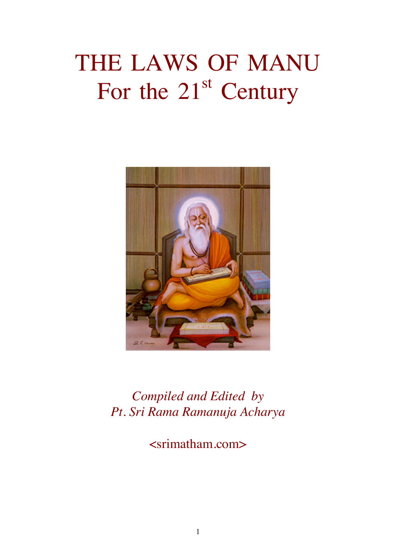# THE LAWS OF MANU For the  $21<sup>st</sup>$  Century



Compiled and Edited by Pt. Sri Rama Ramanuja Acharya

<srimatham.com>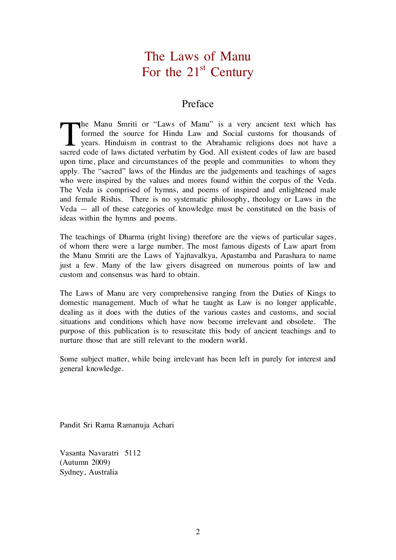# The Laws of Manu For the  $21<sup>st</sup>$  Century

# Preface

he Manu Smriti or "Laws of Manu" is a very ancient text which has formed the source for Hindu Law and Social customs for thousands of The Manu Smriti or "Laws of Manu" is a very ancient text which has<br>formed the source for Hindu Law and Social customs for thousands of<br>years. Hinduism in contrast to the Abrahamic religions does not have a<br>second ande of l sacred code of laws dictated verbatim by God. All existent codes of law are based upon time, place and circumstances of the people and communities to whom they apply. The "sacred" laws of the Hindus are the judgements and teachings of sages who were inspired by the values and mores found within the corpus of the Veda. The Veda is comprised of hymns, and poems of inspired and enlightened male and female Rishis. There is no systematic philosophy, theology or Laws in the Veda — all of these categories of knowledge must be constituted on the basis of ideas within the hymns and poems.

The teachings of Dharma (right living) therefore are the views of particular sages, of whom there were a large number. The most famous digests of Law apart from the Manu Smriti are the Laws of Yajñavalkya, Apastamba and Parashara to name just a few. Many of the law givers disagreed on numerous points of law and custom and consensus was hard to obtain.

The Laws of Manu are very comprehensive ranging from the Duties of Kings to domestic management. Much of what he taught as Law is no longer applicable, dealing as it does with the duties of the various castes and customs, and social situations and conditions which have now become irrelevant and obsolete. The purpose of this publication is to resuscitate this body of ancient teachings and to nurture those that are still relevant to the modern world.

Some subject matter, while being irrelevant has been left in purely for interest and general knowledge.

Pandit Sri Rama Ramanuja Achari

Vasanta Navaratri 5112 (Autumn 2009) Sydney, Australia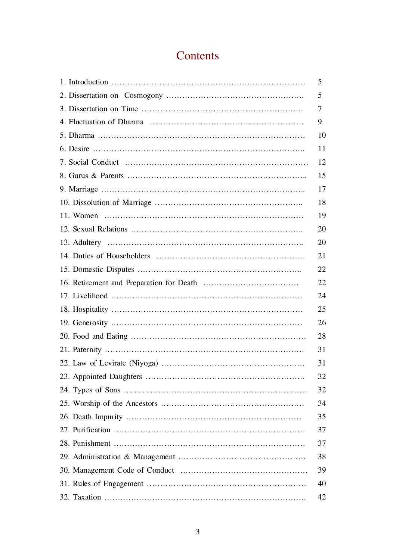# **Contents**

| 5  |
|----|
| 5  |
| 7  |
| 9  |
| 10 |
| 11 |
| 12 |
| 15 |
| 17 |
| 18 |
| 19 |
| 20 |
| 20 |
| 21 |
| 22 |
| 22 |
| 24 |
| 25 |
| 26 |
| 28 |
| 31 |
| 31 |
| 32 |
| 32 |
| 34 |
| 35 |
| 37 |
| 37 |
| 38 |
| 39 |
| 40 |
| 42 |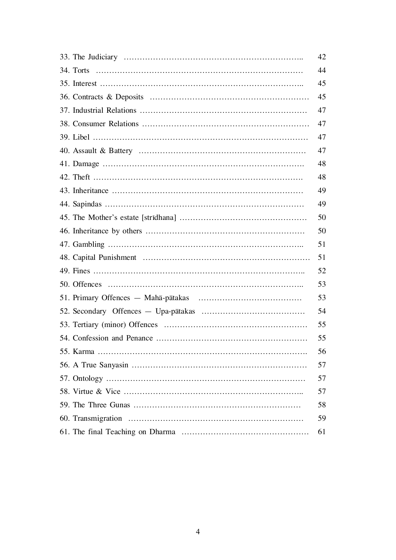| 42 |
|----|
| 44 |
| 45 |
| 45 |
| 47 |
| 47 |
| 47 |
| 47 |
| 48 |
| 48 |
| 49 |
| 49 |
| 50 |
| 50 |
| 51 |
| 51 |
| 52 |
| 53 |
| 53 |
| 54 |
| 55 |
| 55 |
| 56 |
| 57 |
| 57 |
| 57 |
| 58 |
| 59 |
| 61 |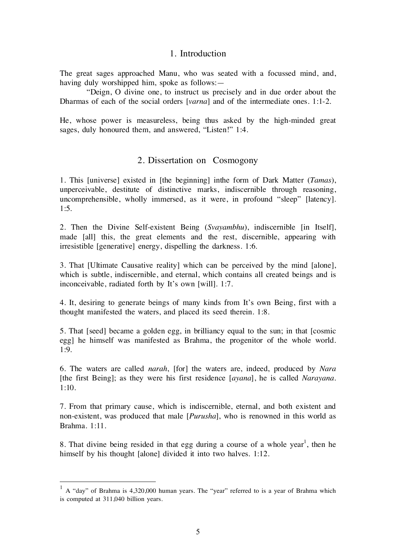# 1. Introduction

The great sages approached Manu, who was seated with a focussed mind, and, having duly worshipped him, spoke as follows:—

 "Deign, O divine one, to instruct us precisely and in due order about the Dharmas of each of the social orders [varna] and of the intermediate ones. 1:1-2.

He, whose power is measureless, being thus asked by the high-minded great sages, duly honoured them, and answered, "Listen!" 1:4.

# 2. Dissertation on Cosmogony

1. This [universe] existed in [the beginning] inthe form of Dark Matter (Tamas), unperceivable, destitute of distinctive marks, indiscernible through reasoning, uncomprehensible, wholly immersed, as it were, in profound "sleep" [latency]. 1:5.

2. Then the Divine Self-existent Being (Svayambhu), indiscernible [in Itself], made [all] this, the great elements and the rest, discernible, appearing with irresistible [generative] energy, dispelling the darkness. 1:6.

3. That [Ultimate Causative reality] which can be perceived by the mind [alone], which is subtle, indiscernible, and eternal, which contains all created beings and is inconceivable, radiated forth by It's own [will]. 1:7.

4. It, desiring to generate beings of many kinds from It's own Being, first with a thought manifested the waters, and placed its seed therein. 1:8.

5. That [seed] became a golden egg, in brilliancy equal to the sun; in that [cosmic egg] he himself was manifested as Brahma, the progenitor of the whole world. 1:9.

6. The waters are called narah, [for] the waters are, indeed, produced by Nara [the first Being]; as they were his first residence [ayana], he is called Narayana. 1:10.

7. From that primary cause, which is indiscernible, eternal, and both existent and non-existent, was produced that male [Purusha], who is renowned in this world as Brahma. 1:11.

8. That divine being resided in that egg during a course of a whole year<sup>1</sup>, then he himself by his thought [alone] divided it into two halves. 1:12.

 $1 \text{ A}$  "day" of Brahma is 4,320,000 human years. The "year" referred to is a year of Brahma which is computed at 311,040 billion years.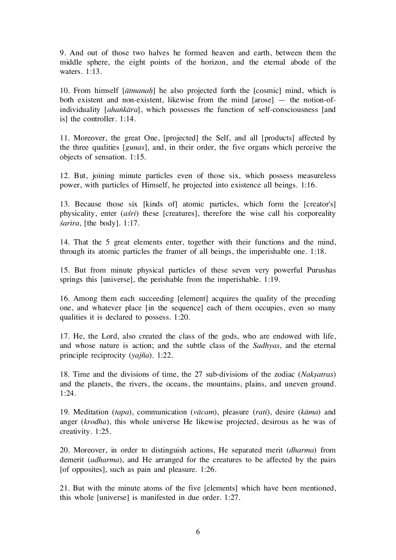9. And out of those two halves he formed heaven and earth, between them the middle sphere, the eight points of the horizon, and the eternal abode of the waters. 1:13.

10. From himself  $[$ *atmanah* $]$  he also projected forth the  $[cosmic]$  mind, which is both existent and non-existent, likewise from the mind [arose] — the notion-ofindividuality [ahankāra], which possesses the function of self-consciousness [and is] the controller. 1:14.

11. Moreover, the great One, [projected] the Self, and all [products] affected by the three qualities [gunas], and, in their order, the five organs which perceive the objects of sensation. 1:15.

12. But, joining minute particles even of those six, which possess measureless power, with particles of Himself, he projected into existence all beings. 1:16.

13. Because those six [kinds of] atomic particles, which form the [creator's] physicality, enter *(asti)* these [creatures], therefore the wise call his corporeality  $sarira$ , [the body]. 1:17.

14. That the 5 great elements enter, together with their functions and the mind, through its atomic particles the framer of all beings, the imperishable one. 1:18.

15. But from minute physical particles of these seven very powerful Purushas springs this [universe], the perishable from the imperishable. 1:19.

16. Among them each succeeding [element] acquires the quality of the preceding one, and whatever place [in the sequence] each of them occupies, even so many qualities it is declared to possess. 1:20.

17. He, the Lord, also created the class of the gods, who are endowed with life, and whose nature is action; and the subtle class of the Sadhyas, and the eternal principle reciprocity (yajña). 1:22.

18. Time and the divisions of time, the 27 sub-divisions of the zodiac (Naksatras) and the planets, the rivers, the oceans, the mountains, plains, and uneven ground. 1:24.

19. Meditation (tapa), communication (vācam), pleasure (rati), desire ( $k\bar{a}$ ma) and anger (krodha), this whole universe He likewise projected, desirous as he was of creativity. 1:25.

20. Moreover, in order to distinguish actions, He separated merit (dharma) from demerit (adharma), and He arranged for the creatures to be affected by the pairs [of opposites], such as pain and pleasure. 1:26.

21. But with the minute atoms of the five [elements] which have been mentioned, this whole [universe] is manifested in due order. 1:27.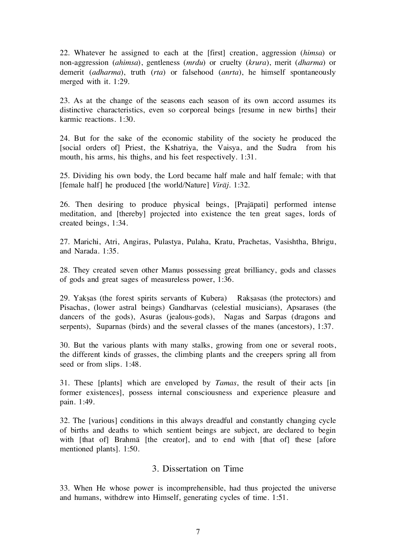22. Whatever he assigned to each at the [first] creation, aggression (himsa) or non-aggression (ahimsa), gentleness (mrdu) or cruelty (krura), merit (dharma) or demerit (*adharma*), truth (*rta*) or falsehood (*anrta*), he himself spontaneously merged with it. 1:29.

23. As at the change of the seasons each season of its own accord assumes its distinctive characteristics, even so corporeal beings [resume in new births] their karmic reactions. 1:30.

24. But for the sake of the economic stability of the society he produced the [social orders of] Priest, the Kshatriya, the Vaisya, and the Sudra from his mouth, his arms, his thighs, and his feet respectively. 1:31.

25. Dividing his own body, the Lord became half male and half female; with that [female half] he produced [the world/Nature]  $Vir\bar{a}i$ . 1:32.

26. Then desiring to produce physical beings, [Prajåpati] performed intense meditation, and [thereby] projected into existence the ten great sages, lords of created beings, 1:34.

27. Marichi, Atri, Angiras, Pulastya, Pulaha, Kratu, Prachetas, Vasishtha, Bhrigu, and Narada. 1:35.

28. They created seven other Manus possessing great brilliancy, gods and classes of gods and great sages of measureless power, 1:36.

29. Yakşas (the forest spirits servants of Kubera) Rakşasas (the protectors) and Pisachas, (lower astral beings) Gandharvas (celestial musicians), Apsarases (the dancers of the gods), Asuras (jealous-gods), Nagas and Sarpas (dragons and serpents), Suparnas (birds) and the several classes of the manes (ancestors), 1:37.

30. But the various plants with many stalks, growing from one or several roots, the different kinds of grasses, the climbing plants and the creepers spring all from seed or from slips. 1:48.

31. These [plants] which are enveloped by Tamas, the result of their acts [in former existences], possess internal consciousness and experience pleasure and pain. 1:49.

32. The [various] conditions in this always dreadful and constantly changing cycle of births and deaths to which sentient beings are subject, are declared to begin with [that of] Brahma [the creator], and to end with [that of] these [afore mentioned plants]. 1:50.

#### 3. Dissertation on Time

33. When He whose power is incomprehensible, had thus projected the universe and humans, withdrew into Himself, generating cycles of time. 1:51.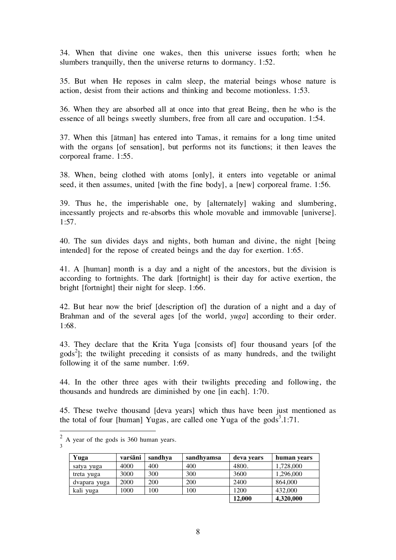34. When that divine one wakes, then this universe issues forth; when he slumbers tranquilly, then the universe returns to dormancy. 1:52.

35. But when He reposes in calm sleep, the material beings whose nature is action, desist from their actions and thinking and become motionless. 1:53.

36. When they are absorbed all at once into that great Being, then he who is the essence of all beings sweetly slumbers, free from all care and occupation. 1:54.

37. When this [åtman] has entered into Tamas, it remains for a long time united with the organs [of sensation], but performs not its functions; it then leaves the corporeal frame. 1:55.

38. When, being clothed with atoms [only], it enters into vegetable or animal seed, it then assumes, united [with the fine body], a [new] corporeal frame. 1:56.

39. Thus he, the imperishable one, by [alternately] waking and slumbering, incessantly projects and re-absorbs this whole movable and immovable [universe]. 1:57.

40. The sun divides days and nights, both human and divine, the night [being intended] for the repose of created beings and the day for exertion. 1:65.

41. A [human] month is a day and a night of the ancestors, but the division is according to fortnights. The dark [fortnight] is their day for active exertion, the bright [fortnight] their night for sleep. 1:66.

42. But hear now the brief [description of] the duration of a night and a day of Brahman and of the several ages [of the world, *yuga*] according to their order. 1:68.

43. They declare that the Krita Yuga [consists of] four thousand years [of the  $\text{gods}^2$ ; the twilight preceding it consists of as many hundreds, and the twilight following it of the same number. 1:69.

44. In the other three ages with their twilights preceding and following, the thousands and hundreds are diminished by one [in each]. 1:70.

45. These twelve thousand [deva years] which thus have been just mentioned as the total of four [human] Yugas, are called one Yuga of the gods<sup>3</sup>.1:71.

| Yuga         | varśāni | sandhya    | sandhyamsa | deva years | human years |
|--------------|---------|------------|------------|------------|-------------|
| satya yuga   | 4000    | 400        | 400        | 4800.      | 1,728,000   |
| treta yuga   | 3000    | 300        | 300        | 3600       | 1,296,000   |
| dvapara yuga | 2000    | <b>200</b> | 200        | 2400       | 864,000     |
| kali yuga    | 1000    | 100        | 100        | 1200       | 432,000     |
|              |         |            |            | 12,000     | 4,320,000   |

 $<sup>2</sup>$  A year of the gods is 360 human years.</sup> 3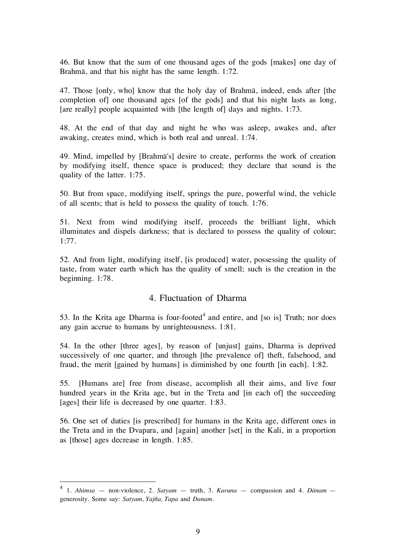46. But know that the sum of one thousand ages of the gods [makes] one day of Brahmå, and that his night has the same length. 1:72.

47. Those [only, who] know that the holy day of Brahmå, indeed, ends after [the completion of] one thousand ages [of the gods] and that his night lasts as long, [are really] people acquainted with [the length of] days and nights. 1:73.

48. At the end of that day and night he who was asleep, awakes and, after awaking, creates mind, which is both real and unreal. 1:74.

49. Mind, impelled by [Brahmå's] desire to create, performs the work of creation by modifying itself, thence space is produced; they declare that sound is the quality of the latter. 1:75.

50. But from space, modifying itself, springs the pure, powerful wind, the vehicle of all scents; that is held to possess the quality of touch. 1:76.

51. Next from wind modifying itself, proceeds the brilliant light, which illuminates and dispels darkness; that is declared to possess the quality of colour; 1:77.

52. And from light, modifying itself, [is produced] water, possessing the quality of taste, from water earth which has the quality of smell; such is the creation in the beginning. 1:78.

# 4. Fluctuation of Dharma

53. In the Krita age Dharma is four-footed<sup>4</sup> and entire, and [so is] Truth; nor does any gain accrue to humans by unrighteousness. 1:81.

54. In the other [three ages], by reason of [unjust] gains, Dharma is deprived successively of one quarter, and through [the prevalence of] theft, falsehood, and fraud, the merit [gained by humans] is diminished by one fourth [in each]. 1:82.

55. [Humans are] free from disease, accomplish all their aims, and live four hundred years in the Krita age, but in the Treta and [in each of] the succeeding [ages] their life is decreased by one quarter. 1:83.

56. One set of duties [is prescribed] for humans in the Krita age, different ones in the Treta and in the Dvapara, and [again] another [set] in the Kali, in a proportion as [those] ages decrease in length. 1:85.

<sup>&</sup>lt;sup>4</sup> 1. Ahimsa – non-violence, 2. Satyam – truth, 3. Karuna – compassion and 4. Dānam – generosity. Some say: Satyam, Yajña, Tapa and Danam.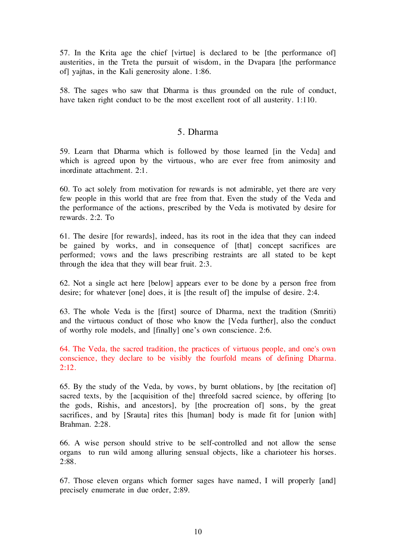57. In the Krita age the chief [virtue] is declared to be [the performance of] austerities, in the Treta the pursuit of wisdom, in the Dvapara [the performance of] yajñas, in the Kali generosity alone. 1:86.

58. The sages who saw that Dharma is thus grounded on the rule of conduct, have taken right conduct to be the most excellent root of all austerity. 1:110.

#### 5. Dharma

59. Learn that Dharma which is followed by those learned [in the Veda] and which is agreed upon by the virtuous, who are ever free from animosity and inordinate attachment. 2:1.

60. To act solely from motivation for rewards is not admirable, yet there are very few people in this world that are free from that. Even the study of the Veda and the performance of the actions, prescribed by the Veda is motivated by desire for rewards. 2:2. To

61. The desire [for rewards], indeed, has its root in the idea that they can indeed be gained by works, and in consequence of [that] concept sacrifices are performed; vows and the laws prescribing restraints are all stated to be kept through the idea that they will bear fruit. 2:3.

62. Not a single act here [below] appears ever to be done by a person free from desire; for whatever [one] does, it is [the result of] the impulse of desire. 2:4.

63. The whole Veda is the [first] source of Dharma, next the tradition (Smriti) and the virtuous conduct of those who know the [Veda further], also the conduct of worthy role models, and [finally] one's own conscience. 2:6.

64. The Veda, the sacred tradition, the practices of virtuous people, and one's own conscience, they declare to be visibly the fourfold means of defining Dharma. 2:12.

65. By the study of the Veda, by vows, by burnt oblations, by [the recitation of] sacred texts, by the [acquisition of the] threefold sacred science, by offering [to the gods, Rishis, and ancestors], by [the procreation of] sons, by the great sacrifices, and by [Srauta] rites this [human] body is made fit for [union with] Brahman. 2:28.

66. A wise person should strive to be self-controlled and not allow the sense organs to run wild among alluring sensual objects, like a charioteer his horses. 2:88.

67. Those eleven organs which former sages have named, I will properly [and] precisely enumerate in due order, 2:89.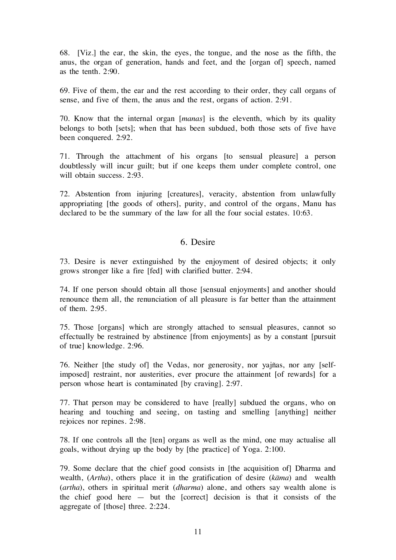68. [Viz.] the ear, the skin, the eyes, the tongue, and the nose as the fifth, the anus, the organ of generation, hands and feet, and the [organ of] speech, named as the tenth. 2:90.

69. Five of them, the ear and the rest according to their order, they call organs of sense, and five of them, the anus and the rest, organs of action. 2:91.

70. Know that the internal organ [manas] is the eleventh, which by its quality belongs to both [sets]; when that has been subdued, both those sets of five have been conquered. 2:92.

71. Through the attachment of his organs [to sensual pleasure] a person doubtlessly will incur guilt; but if one keeps them under complete control, one will obtain success. 2:93.

72. Abstention from injuring [creatures], veracity, abstention from unlawfully appropriating [the goods of others], purity, and control of the organs, Manu has declared to be the summary of the law for all the four social estates. 10:63.

#### 6. Desire

73. Desire is never extinguished by the enjoyment of desired objects; it only grows stronger like a fire [fed] with clarified butter. 2:94.

74. If one person should obtain all those [sensual enjoyments] and another should renounce them all, the renunciation of all pleasure is far better than the attainment of them. 2:95.

75. Those [organs] which are strongly attached to sensual pleasures, cannot so effectually be restrained by abstinence [from enjoyments] as by a constant [pursuit of true] knowledge. 2:96.

76. Neither [the study of] the Vedas, nor generosity, nor yajñas, nor any [selfimposed] restraint, nor austerities, ever procure the attainment [of rewards] for a person whose heart is contaminated [by craving]. 2:97.

77. That person may be considered to have [really] subdued the organs, who on hearing and touching and seeing, on tasting and smelling [anything] neither rejoices nor repines. 2:98.

78. If one controls all the [ten] organs as well as the mind, one may actualise all goals, without drying up the body by [the practice] of Yoga. 2:100.

79. Some declare that the chief good consists in [the acquisition of] Dharma and wealth, (*Artha*), others place it in the gratification of desire (*kāma*) and wealth (artha), others in spiritual merit (dharma) alone, and others say wealth alone is the chief good here  $-$  but the [correct] decision is that it consists of the aggregate of [those] three. 2:224.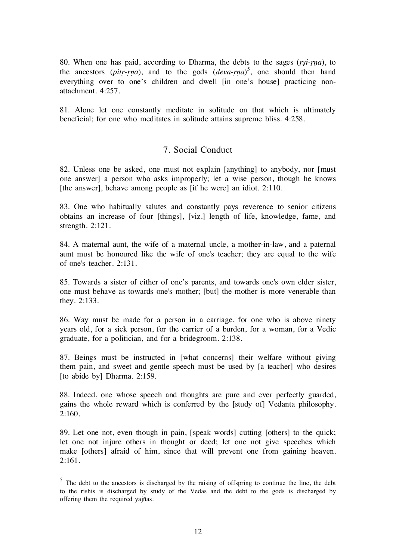80. When one has paid, according to Dharma, the debts to the sages  $(rsi\text{-}rna)$ , to the ancestors (pitr-rna), and to the gods  $(deva-rna)^5$ , one should then hand everything over to one's children and dwell [in one's house] practicing nonattachment. 4:257.

81. Alone let one constantly meditate in solitude on that which is ultimately beneficial; for one who meditates in solitude attains supreme bliss. 4:258.

#### 7. Social Conduct

82. Unless one be asked, one must not explain [anything] to anybody, nor [must one answer] a person who asks improperly; let a wise person, though he knows [the answer], behave among people as [if he were] an idiot. 2:110.

83. One who habitually salutes and constantly pays reverence to senior citizens obtains an increase of four [things], [viz.] length of life, knowledge, fame, and strength. 2:121.

84. A maternal aunt, the wife of a maternal uncle, a mother-in-law, and a paternal aunt must be honoured like the wife of one's teacher; they are equal to the wife of one's teacher. 2:131.

85. Towards a sister of either of one's parents, and towards one's own elder sister, one must behave as towards one's mother; [but] the mother is more venerable than they. 2:133.

86. Way must be made for a person in a carriage, for one who is above ninety years old, for a sick person, for the carrier of a burden, for a woman, for a Vedic graduate, for a politician, and for a bridegroom. 2:138.

87. Beings must be instructed in [what concerns] their welfare without giving them pain, and sweet and gentle speech must be used by [a teacher] who desires [to abide by] Dharma. 2:159.

88. Indeed, one whose speech and thoughts are pure and ever perfectly guarded, gains the whole reward which is conferred by the [study of] Vedanta philosophy. 2:160.

89. Let one not, even though in pain, [speak words] cutting [others] to the quick; let one not injure others in thought or deed; let one not give speeches which make [others] afraid of him, since that will prevent one from gaining heaven. 2:161.

 $5$  The debt to the ancestors is discharged by the raising of offspring to continue the line, the debt to the rishis is discharged by study of the Vedas and the debt to the gods is discharged by offering them the required yajñas.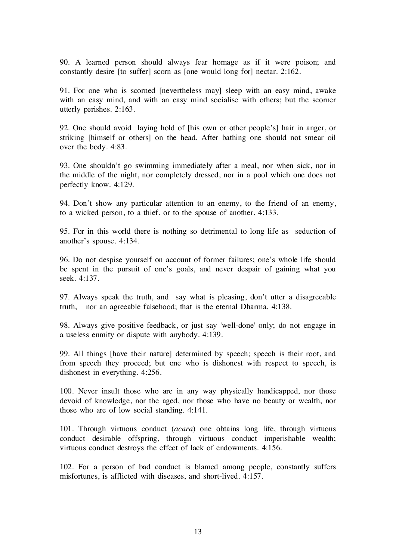90. A learned person should always fear homage as if it were poison; and constantly desire [to suffer] scorn as [one would long for] nectar. 2:162.

91. For one who is scorned [nevertheless may] sleep with an easy mind, awake with an easy mind, and with an easy mind socialise with others; but the scorner utterly perishes. 2:163.

92. One should avoid laying hold of [his own or other people's] hair in anger, or striking [himself or others] on the head. After bathing one should not smear oil over the body. 4:83.

93. One shouldn't go swimming immediately after a meal, nor when sick, nor in the middle of the night, nor completely dressed, nor in a pool which one does not perfectly know. 4:129.

94. Don't show any particular attention to an enemy, to the friend of an enemy, to a wicked person, to a thief, or to the spouse of another. 4:133.

95. For in this world there is nothing so detrimental to long life as seduction of another's spouse. 4:134.

96. Do not despise yourself on account of former failures; one's whole life should be spent in the pursuit of one's goals, and never despair of gaining what you seek. 4:137.

97. Always speak the truth, and say what is pleasing, don't utter a disagreeable truth, nor an agreeable falsehood; that is the eternal Dharma. 4:138.

98. Always give positive feedback, or just say 'well-done' only; do not engage in a useless enmity or dispute with anybody. 4:139.

99. All things [have their nature] determined by speech; speech is their root, and from speech they proceed; but one who is dishonest with respect to speech, is dishonest in everything. 4:256.

100. Never insult those who are in any way physically handicapped, nor those devoid of knowledge, nor the aged, nor those who have no beauty or wealth, nor those who are of low social standing. 4:141.

101. Through virtuous conduct  $(\bar{a}c\bar{a}ra)$  one obtains long life, through virtuous conduct desirable offspring, through virtuous conduct imperishable wealth; virtuous conduct destroys the effect of lack of endowments. 4:156.

102. For a person of bad conduct is blamed among people, constantly suffers misfortunes, is afflicted with diseases, and short-lived. 4:157.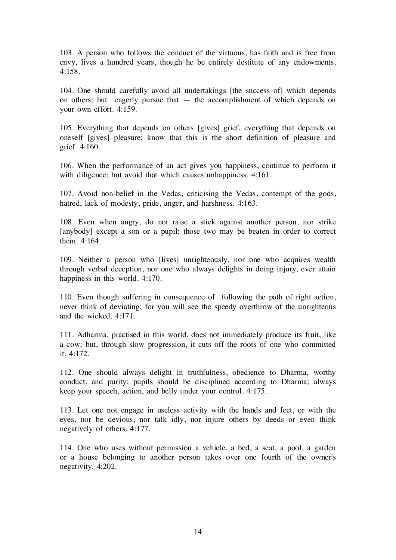103. A person who follows the conduct of the virtuous, has faith and is free from envy, lives a hundred years, though he be entirely destitute of any endowments.  $4.158$ 

104. One should carefully avoid all undertakings [the success of] which depends on others; but eagerly pursue that — the accomplishment of which depends on your own effort. 4:159.

105. Everything that depends on others [gives] grief, everything that depends on oneself [gives] pleasure; know that this is the short definition of pleasure and grief. 4:160.

106. When the performance of an act gives you happiness, continue to perform it with diligence; but avoid that which causes unhappiness. 4:161.

107. Avoid non-belief in the Vedas, criticising the Vedas, contempt of the gods, hatred, lack of modesty, pride, anger, and harshness. 4:163.

108. Even when angry, do not raise a stick against another person, nor strike [anybody] except a son or a pupil; those two may be beaten in order to correct them. 4:164.

109. Neither a person who [lives] unrighteously, nor one who acquires wealth through verbal deception, nor one who always delights in doing injury, ever attain happiness in this world. 4:170.

110. Even though suffering in consequence of following the path of right action, never think of deviating; for you will see the speedy overthrow of the unrighteous and the wicked. 4:171.

111. Adharma, practised in this world, does not immediately produce its fruit, like a cow; but, through slow progression, it cuts off the roots of one who committed it. 4:172.

112. One should always delight in truthfulness, obedience to Dharma, worthy conduct, and purity; pupils should be disciplined according to Dharma; always keep your speech, action, and belly under your control. 4:175.

113. Let one not engage in useless activity with the hands and feet, or with the eyes, nor be devious, nor talk idly, nor injure others by deeds or even think negatively of others. 4:177.

114. One who uses without permission a vehicle, a bed, a seat, a pool, a garden or a house belonging to another person takes over one fourth of the owner's negativity. 4:202.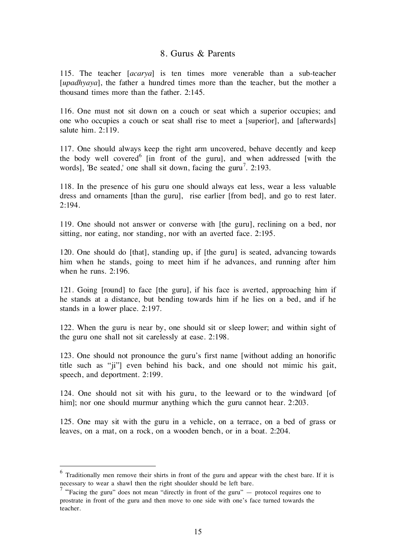#### 8. Gurus & Parents

115. The teacher [acarya] is ten times more venerable than a sub-teacher [*upadhyaya*], the father a hundred times more than the teacher, but the mother a thousand times more than the father. 2:145.

116. One must not sit down on a couch or seat which a superior occupies; and one who occupies a couch or seat shall rise to meet a [superior], and [afterwards] salute him. 2:119.

117. One should always keep the right arm uncovered, behave decently and keep the body well covered<sup>6</sup> [in front of the guru], and when addressed [with the words], 'Be seated,' one shall sit down, facing the guru<sup>7</sup>. 2:193.

118. In the presence of his guru one should always eat less, wear a less valuable dress and ornaments [than the guru], rise earlier [from bed], and go to rest later. 2:194.

119. One should not answer or converse with [the guru], reclining on a bed, nor sitting, nor eating, nor standing, nor with an averted face. 2:195.

120. One should do [that], standing up, if [the guru] is seated, advancing towards him when he stands, going to meet him if he advances, and running after him when he runs. 2:196.

121. Going [round] to face [the guru], if his face is averted, approaching him if he stands at a distance, but bending towards him if he lies on a bed, and if he stands in a lower place. 2:197.

122. When the guru is near by, one should sit or sleep lower; and within sight of the guru one shall not sit carelessly at ease. 2:198.

123. One should not pronounce the guru's first name [without adding an honorific title such as "ji"] even behind his back, and one should not mimic his gait, speech, and deportment. 2:199.

124. One should not sit with his guru, to the leeward or to the windward [of him]; nor one should murmur anything which the guru cannot hear. 2:203.

125. One may sit with the guru in a vehicle, on a terrace, on a bed of grass or leaves, on a mat, on a rock, on a wooden bench, or in a boat. 2:204.

 $6$  Traditionally men remove their shirts in front of the guru and appear with the chest bare. If it is necessary to wear a shawl then the right shoulder should be left bare.

<sup>&</sup>lt;sup>7</sup> "Facing the guru" does not mean "directly in front of the guru"  $-$  protocol requires one to prostrate in front of the guru and then move to one side with one's face turned towards the teacher.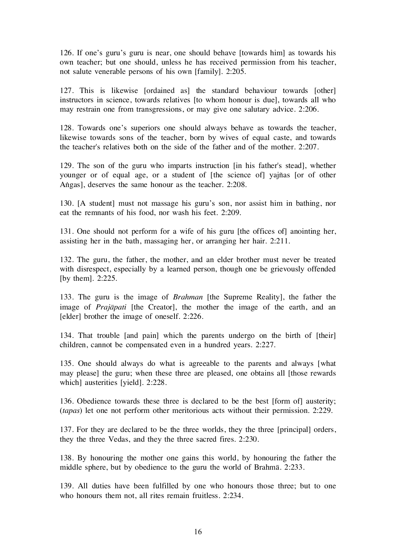126. If one's guru's guru is near, one should behave [towards him] as towards his own teacher; but one should, unless he has received permission from his teacher, not salute venerable persons of his own [family]. 2:205.

127. This is likewise [ordained as] the standard behaviour towards [other] instructors in science, towards relatives [to whom honour is due], towards all who may restrain one from transgressions, or may give one salutary advice. 2:206.

128. Towards one's superiors one should always behave as towards the teacher, likewise towards sons of the teacher, born by wives of equal caste, and towards the teacher's relatives both on the side of the father and of the mother. 2:207.

129. The son of the guru who imparts instruction [in his father's stead], whether younger or of equal age, or a student of [the science of] yajñas [or of other Angas], deserves the same honour as the teacher. 2:208.

130. [A student] must not massage his guru's son, nor assist him in bathing, nor eat the remnants of his food, nor wash his feet. 2:209.

131. One should not perform for a wife of his guru [the offices of] anointing her, assisting her in the bath, massaging her, or arranging her hair. 2:211.

132. The guru, the father, the mother, and an elder brother must never be treated with disrespect, especially by a learned person, though one be grievously offended [by them]. 2:225.

133. The guru is the image of Brahman [the Supreme Reality], the father the image of *Prajāpati* [the Creator], the mother the image of the earth, and an [elder] brother the image of oneself. 2:226.

134. That trouble [and pain] which the parents undergo on the birth of [their] children, cannot be compensated even in a hundred years. 2:227.

135. One should always do what is agreeable to the parents and always [what may please] the guru; when these three are pleased, one obtains all [those rewards which] austerities [yield]. 2:228.

136. Obedience towards these three is declared to be the best [form of] austerity; (tapas) let one not perform other meritorious acts without their permission. 2:229.

137. For they are declared to be the three worlds, they the three [principal] orders, they the three Vedas, and they the three sacred fires. 2:230.

138. By honouring the mother one gains this world, by honouring the father the middle sphere, but by obedience to the guru the world of Brahmå. 2:233.

139. All duties have been fulfilled by one who honours those three; but to one who honours them not, all rites remain fruitless. 2:234.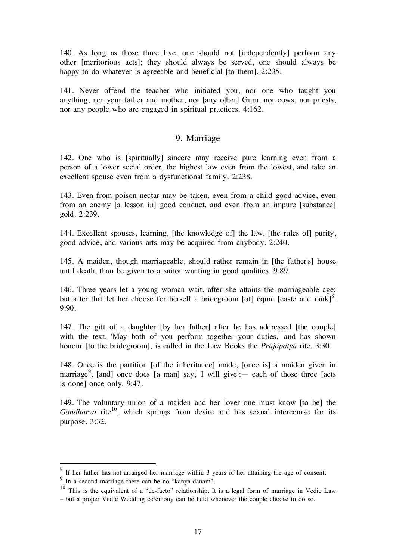140. As long as those three live, one should not [independently] perform any other [meritorious acts]; they should always be served, one should always be happy to do whatever is agreeable and beneficial [to them]. 2:235.

141. Never offend the teacher who initiated you, nor one who taught you anything, nor your father and mother, nor [any other] Guru, nor cows, nor priests, nor any people who are engaged in spiritual practices. 4:162.

#### 9. Marriage

142. One who is [spiritually] sincere may receive pure learning even from a person of a lower social order, the highest law even from the lowest, and take an excellent spouse even from a dysfunctional family. 2:238.

143. Even from poison nectar may be taken, even from a child good advice, even from an enemy [a lesson in] good conduct, and even from an impure [substance] gold. 2:239.

144. Excellent spouses, learning, [the knowledge of] the law, [the rules of] purity, good advice, and various arts may be acquired from anybody. 2:240.

145. A maiden, though marriageable, should rather remain in [the father's] house until death, than be given to a suitor wanting in good qualities. 9:89.

146. Three years let a young woman wait, after she attains the marriageable age; but after that let her choose for herself a bridegroom [of] equal [caste and rank]<sup>8</sup>. 9:90.

147. The gift of a daughter [by her father] after he has addressed [the couple] with the text, 'May both of you perform together your duties,' and has shown honour [to the bridegroom], is called in the Law Books the *Prajapatya* rite. 3:30.

148. Once is the partition [of the inheritance] made, [once is] a maiden given in marriage<sup>9</sup>, [and] once does [a man] say,' I will give': — each of those three [acts is done] once only. 9:47.

149. The voluntary union of a maiden and her lover one must know [to be] the Gandharva rite<sup>10</sup>, which springs from desire and has sexual intercourse for its purpose. 3:32.

 <sup>8</sup> If her father has not arranged her marriage within 3 years of her attaining the age of consent. <sup>9</sup> In a second marriage there can be no "kanya-dånam".

 $10$  This is the equivalent of a "de-facto" relationship. It is a legal form of marriage in Vedic Law – but a proper Vedic Wedding ceremony can be held whenever the couple choose to do so.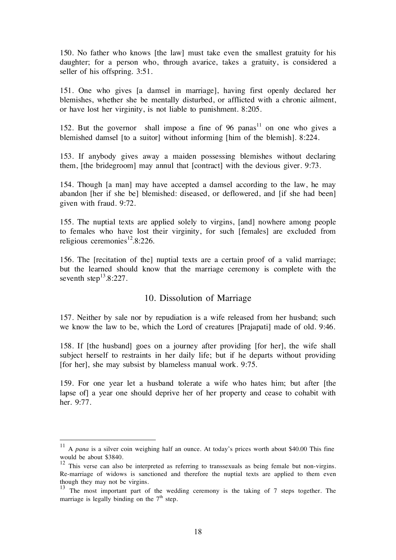150. No father who knows [the law] must take even the smallest gratuity for his daughter; for a person who, through avarice, takes a gratuity, is considered a seller of his offspring. 3:51.

151. One who gives [a damsel in marriage], having first openly declared her blemishes, whether she be mentally disturbed, or afflicted with a chronic ailment, or have lost her virginity, is not liable to punishment. 8:205.

152. But the governor shall impose a fine of 96 panas<sup>11</sup> on one who gives a blemished damsel [to a suitor] without informing [him of the blemish]. 8:224.

153. If anybody gives away a maiden possessing blemishes without declaring them, [the bridegroom] may annul that [contract] with the devious giver. 9:73.

154. Though [a man] may have accepted a damsel according to the law, he may abandon [her if she be] blemished: diseased, or deflowered, and [if she had been] given with fraud. 9:72.

155. The nuptial texts are applied solely to virgins, [and] nowhere among people to females who have lost their virginity, for such [females] are excluded from religious ceremonies<sup>12</sup>.8:226.

156. The [recitation of the] nuptial texts are a certain proof of a valid marriage; but the learned should know that the marriage ceremony is complete with the seventh step<sup>13</sup>.8:227.

#### 10. Dissolution of Marriage

157. Neither by sale nor by repudiation is a wife released from her husband; such we know the law to be, which the Lord of creatures [Prajapati] made of old. 9:46.

158. If [the husband] goes on a journey after providing [for her], the wife shall subject herself to restraints in her daily life; but if he departs without providing [for her], she may subsist by blameless manual work. 9:75.

159. For one year let a husband tolerate a wife who hates him; but after [the lapse of] a year one should deprive her of her property and cease to cohabit with her. 9:77.

 $11$  A pana is a silver coin weighing half an ounce. At today's prices worth about \$40.00 This fine would be about \$3840.

<sup>&</sup>lt;sup>12</sup> This verse can also be interpreted as referring to transsexuals as being female but non-virgins. Re-marriage of widows is sanctioned and therefore the nuptial texts are applied to them even

though they may not be virgins.<br><sup>13</sup> The most important part of the wedding ceremony is the taking of 7 steps together. The marriage is legally binding on the  $7<sup>th</sup>$  step.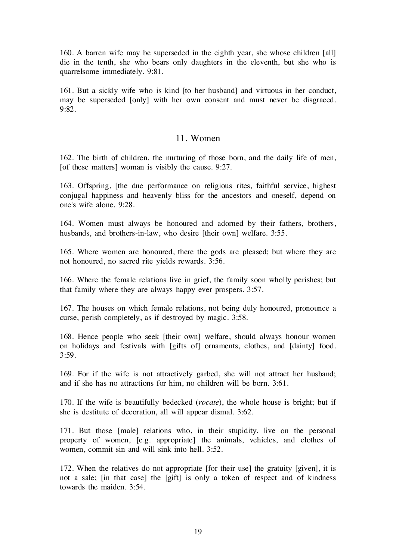160. A barren wife may be superseded in the eighth year, she whose children [all] die in the tenth, she who bears only daughters in the eleventh, but she who is quarrelsome immediately. 9:81.

161. But a sickly wife who is kind [to her husband] and virtuous in her conduct, may be superseded [only] with her own consent and must never be disgraced. 9:82.

#### 11. Women

162. The birth of children, the nurturing of those born, and the daily life of men, [of these matters] woman is visibly the cause. 9:27.

163. Offspring, [the due performance on religious rites, faithful service, highest conjugal happiness and heavenly bliss for the ancestors and oneself, depend on one's wife alone. 9:28.

164. Women must always be honoured and adorned by their fathers, brothers, husbands, and brothers-in-law, who desire [their own] welfare. 3:55.

165. Where women are honoured, there the gods are pleased; but where they are not honoured, no sacred rite yields rewards. 3:56.

166. Where the female relations live in grief, the family soon wholly perishes; but that family where they are always happy ever prospers. 3:57.

167. The houses on which female relations, not being duly honoured, pronounce a curse, perish completely, as if destroyed by magic. 3:58.

168. Hence people who seek [their own] welfare, should always honour women on holidays and festivals with [gifts of] ornaments, clothes, and [dainty] food. 3:59.

169. For if the wife is not attractively garbed, she will not attract her husband; and if she has no attractions for him, no children will be born. 3:61.

170. If the wife is beautifully bedecked (rocate), the whole house is bright; but if she is destitute of decoration, all will appear dismal. 3:62.

171. But those [male] relations who, in their stupidity, live on the personal property of women, [e.g. appropriate] the animals, vehicles, and clothes of women, commit sin and will sink into hell. 3:52.

172. When the relatives do not appropriate [for their use] the gratuity [given], it is not a sale; [in that case] the [gift] is only a token of respect and of kindness towards the maiden. 3:54.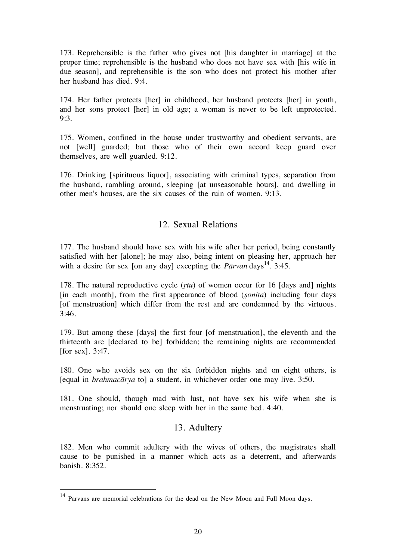173. Reprehensible is the father who gives not [his daughter in marriage] at the proper time; reprehensible is the husband who does not have sex with [his wife in due season], and reprehensible is the son who does not protect his mother after her husband has died. 9:4.

174. Her father protects [her] in childhood, her husband protects [her] in youth, and her sons protect [her] in old age; a woman is never to be left unprotected. 9:3.

175. Women, confined in the house under trustworthy and obedient servants, are not [well] guarded; but those who of their own accord keep guard over themselves, are well guarded. 9:12.

176. Drinking [spirituous liquor], associating with criminal types, separation from the husband, rambling around, sleeping [at unseasonable hours], and dwelling in other men's houses, are the six causes of the ruin of women. 9:13.

#### 12. Sexual Relations

177. The husband should have sex with his wife after her period, being constantly satisfied with her [alone]; he may also, being intent on pleasing her, approach her with a desire for sex [on any day] excepting the  $P\bar{a}rvan \, days^{14}$ . 3:45.

178. The natural reproductive cycle  $(rtu)$  of women occur for 16 [days and] nights  $\lceil$ in each month $\rceil$ , from the first appearance of blood (*sonita*) including four days [of menstruation] which differ from the rest and are condemned by the virtuous. 3:46.

179. But among these [days] the first four [of menstruation], the eleventh and the thirteenth are [declared to be] forbidden; the remaining nights are recommended [for sex]. 3:47.

180. One who avoids sex on the six forbidden nights and on eight others, is [equal in brahmacårya to] a student, in whichever order one may live. 3:50.

181. One should, though mad with lust, not have sex his wife when she is menstruating; nor should one sleep with her in the same bed. 4:40.

#### 13. Adultery

182. Men who commit adultery with the wives of others, the magistrates shall cause to be punished in a manner which acts as a deterrent, and afterwards banish. 8:352.

 <sup>14</sup> Pårvans are memorial celebrations for the dead on the New Moon and Full Moon days.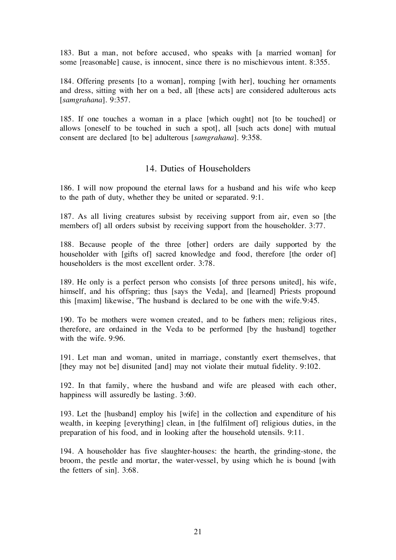183. But a man, not before accused, who speaks with [a married woman] for some [reasonable] cause, is innocent, since there is no mischievous intent. 8:355.

184. Offering presents [to a woman], romping [with her], touching her ornaments and dress, sitting with her on a bed, all [these acts] are considered adulterous acts [samgrahana]. 9:357.

185. If one touches a woman in a place [which ought] not [to be touched] or allows [oneself to be touched in such a spot], all [such acts done] with mutual consent are declared [to be] adulterous [samgrahana]. 9:358.

# 14. Duties of Householders

186. I will now propound the eternal laws for a husband and his wife who keep to the path of duty, whether they be united or separated. 9:1.

187. As all living creatures subsist by receiving support from air, even so [the members of all orders subsist by receiving support from the householder. 3:77.

188. Because people of the three [other] orders are daily supported by the householder with [gifts of] sacred knowledge and food, therefore [the order of] householders is the most excellent order. 3:78.

189. He only is a perfect person who consists [of three persons united], his wife, himself, and his offspring; thus [says the Veda], and [learned] Priests propound this [maxim] likewise, 'The husband is declared to be one with the wife.'9:45.

190. To be mothers were women created, and to be fathers men; religious rites, therefore, are ordained in the Veda to be performed [by the husband] together with the wife. 9:96.

191. Let man and woman, united in marriage, constantly exert themselves, that [they may not be] disunited [and] may not violate their mutual fidelity. 9:102.

192. In that family, where the husband and wife are pleased with each other, happiness will assuredly be lasting. 3:60.

193. Let the [husband] employ his [wife] in the collection and expenditure of his wealth, in keeping [everything] clean, in [the fulfilment of] religious duties, in the preparation of his food, and in looking after the household utensils. 9:11.

194. A householder has five slaughter-houses: the hearth, the grinding-stone, the broom, the pestle and mortar, the water-vessel, by using which he is bound [with the fetters of sin]. 3:68.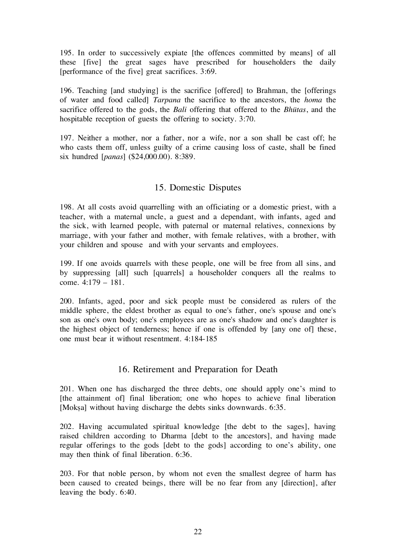195. In order to successively expiate [the offences committed by means] of all these [five] the great sages have prescribed for householders the daily [performance of the five] great sacrifices. 3:69.

196. Teaching [and studying] is the sacrifice [offered] to Brahman, the [offerings of water and food called] Tarpana the sacrifice to the ancestors, the homa the sacrifice offered to the gods, the *Bali* offering that offered to the *Bhūtas*, and the hospitable reception of guests the offering to society. 3:70.

197. Neither a mother, nor a father, nor a wife, nor a son shall be cast off; he who casts them off, unless guilty of a crime causing loss of caste, shall be fined six hundred [panas] (\$24,000.00). 8:389.

# 15. Domestic Disputes

198. At all costs avoid quarrelling with an officiating or a domestic priest, with a teacher, with a maternal uncle, a guest and a dependant, with infants, aged and the sick, with learned people, with paternal or maternal relatives, connexions by marriage, with your father and mother, with female relatives, with a brother, with your children and spouse and with your servants and employees.

199. If one avoids quarrels with these people, one will be free from all sins, and by suppressing [all] such [quarrels] a householder conquers all the realms to come. 4:179 – 181.

200. Infants, aged, poor and sick people must be considered as rulers of the middle sphere, the eldest brother as equal to one's father, one's spouse and one's son as one's own body; one's employees are as one's shadow and one's daughter is the highest object of tenderness; hence if one is offended by [any one of] these, one must bear it without resentment. 4:184-185

# 16. Retirement and Preparation for Death

201. When one has discharged the three debts, one should apply one's mind to [the attainment of] final liberation; one who hopes to achieve final liberation [Moksa] without having discharge the debts sinks downwards. 6:35.

202. Having accumulated spiritual knowledge [the debt to the sages], having raised children according to Dharma [debt to the ancestors], and having made regular offerings to the gods [debt to the gods] according to one's ability, one may then think of final liberation. 6:36.

203. For that noble person, by whom not even the smallest degree of harm has been caused to created beings, there will be no fear from any [direction], after leaving the body. 6:40.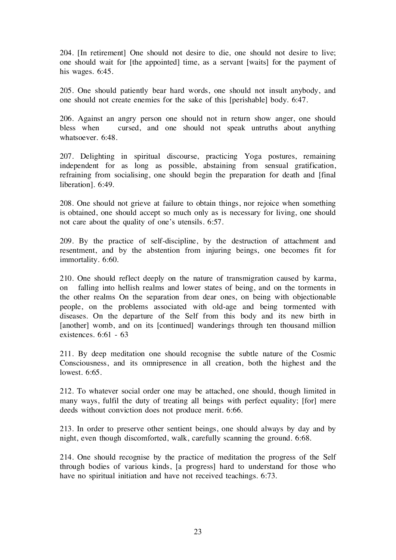204. [In retirement] One should not desire to die, one should not desire to live; one should wait for [the appointed] time, as a servant [waits] for the payment of his wages. 6:45.

205. One should patiently bear hard words, one should not insult anybody, and one should not create enemies for the sake of this [perishable] body. 6:47.

206. Against an angry person one should not in return show anger, one should bless when cursed, and one should not speak untruths about anything whatsoever. 6:48.

207. Delighting in spiritual discourse, practicing Yoga postures, remaining independent for as long as possible, abstaining from sensual gratification, refraining from socialising, one should begin the preparation for death and [final liberation]. 6:49.

208. One should not grieve at failure to obtain things, nor rejoice when something is obtained, one should accept so much only as is necessary for living, one should not care about the quality of one's utensils. 6:57.

209. By the practice of self-discipline, by the destruction of attachment and resentment, and by the abstention from injuring beings, one becomes fit for immortality. 6:60.

210. One should reflect deeply on the nature of transmigration caused by karma, on falling into hellish realms and lower states of being, and on the torments in the other realms On the separation from dear ones, on being with objectionable people, on the problems associated with old-age and being tormented with diseases. On the departure of the Self from this body and its new birth in [another] womb, and on its [continued] wanderings through ten thousand million existences. 6:61 - 63

211. By deep meditation one should recognise the subtle nature of the Cosmic Consciousness, and its omnipresence in all creation, both the highest and the lowest. 6:65.

212. To whatever social order one may be attached, one should, though limited in many ways, fulfil the duty of treating all beings with perfect equality; [for] mere deeds without conviction does not produce merit. 6:66.

213. In order to preserve other sentient beings, one should always by day and by night, even though discomforted, walk, carefully scanning the ground. 6:68.

214. One should recognise by the practice of meditation the progress of the Self through bodies of various kinds, [a progress] hard to understand for those who have no spiritual initiation and have not received teachings. 6:73.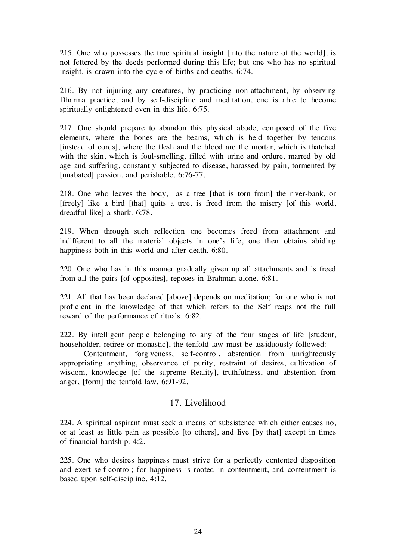215. One who possesses the true spiritual insight [into the nature of the world], is not fettered by the deeds performed during this life; but one who has no spiritual insight, is drawn into the cycle of births and deaths. 6:74.

216. By not injuring any creatures, by practicing non-attachment, by observing Dharma practice, and by self-discipline and meditation, one is able to become spiritually enlightened even in this life. 6:75.

217. One should prepare to abandon this physical abode, composed of the five elements, where the bones are the beams, which is held together by tendons [instead of cords], where the flesh and the blood are the mortar, which is thatched with the skin, which is foul-smelling, filled with urine and ordure, marred by old age and suffering, constantly subjected to disease, harassed by pain, tormented by [unabated] passion, and perishable. 6:76-77.

218. One who leaves the body, as a tree [that is torn from] the river-bank, or [freely] like a bird [that] quits a tree, is freed from the misery [of this world, dreadful like] a shark. 6:78.

219. When through such reflection one becomes freed from attachment and indifferent to all the material objects in one's life, one then obtains abiding happiness both in this world and after death. 6:80.

220. One who has in this manner gradually given up all attachments and is freed from all the pairs [of opposites], reposes in Brahman alone. 6:81.

221. All that has been declared [above] depends on meditation; for one who is not proficient in the knowledge of that which refers to the Self reaps not the full reward of the performance of rituals. 6:82.

222. By intelligent people belonging to any of the four stages of life [student, householder, retiree or monastic], the tenfold law must be assiduously followed:—

Contentment, forgiveness, self-control, abstention from unrighteously appropriating anything, observance of purity, restraint of desires, cultivation of wisdom, knowledge [of the supreme Reality], truthfulness, and abstention from anger, [form] the tenfold law. 6:91-92.

#### 17. Livelihood

224. A spiritual aspirant must seek a means of subsistence which either causes no, or at least as little pain as possible [to others], and live [by that] except in times of financial hardship. 4:2.

225. One who desires happiness must strive for a perfectly contented disposition and exert self-control; for happiness is rooted in contentment, and contentment is based upon self-discipline. 4:12.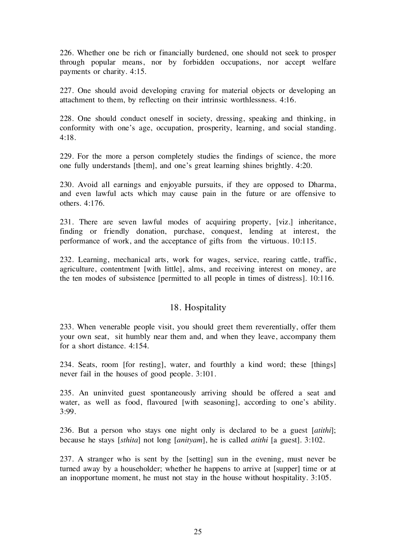226. Whether one be rich or financially burdened, one should not seek to prosper through popular means, nor by forbidden occupations, nor accept welfare payments or charity. 4:15.

227. One should avoid developing craving for material objects or developing an attachment to them, by reflecting on their intrinsic worthlessness. 4:16.

228. One should conduct oneself in society, dressing, speaking and thinking, in conformity with one's age, occupation, prosperity, learning, and social standing. 4:18.

229. For the more a person completely studies the findings of science, the more one fully understands [them], and one's great learning shines brightly. 4:20.

230. Avoid all earnings and enjoyable pursuits, if they are opposed to Dharma, and even lawful acts which may cause pain in the future or are offensive to others. 4:176.

231. There are seven lawful modes of acquiring property, [viz.] inheritance, finding or friendly donation, purchase, conquest, lending at interest, the performance of work, and the acceptance of gifts from the virtuous. 10:115.

232. Learning, mechanical arts, work for wages, service, rearing cattle, traffic, agriculture, contentment [with little], alms, and receiving interest on money, are the ten modes of subsistence [permitted to all people in times of distress]. 10:116.

#### 18. Hospitality

233. When venerable people visit, you should greet them reverentially, offer them your own seat, sit humbly near them and, and when they leave, accompany them for a short distance. 4:154.

234. Seats, room [for resting], water, and fourthly a kind word; these [things] never fail in the houses of good people. 3:101.

235. An uninvited guest spontaneously arriving should be offered a seat and water, as well as food, flavoured [with seasoning], according to one's ability. 3:99.

236. But a person who stays one night only is declared to be a guest [atithi]; because he stays [sthita] not long [anityam], he is called atithi [a guest]. 3:102.

237. A stranger who is sent by the [setting] sun in the evening, must never be turned away by a householder; whether he happens to arrive at [supper] time or at an inopportune moment, he must not stay in the house without hospitality. 3:105.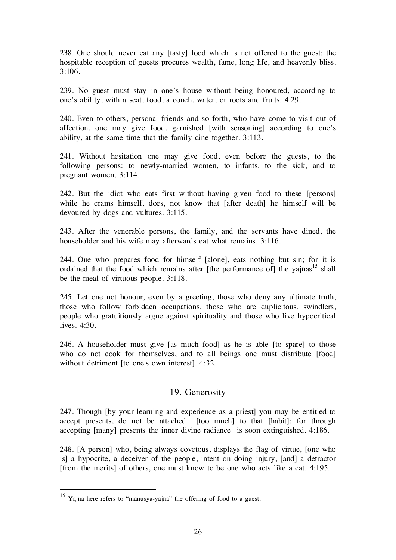238. One should never eat any [tasty] food which is not offered to the guest; the hospitable reception of guests procures wealth, fame, long life, and heavenly bliss. 3:106.

239. No guest must stay in one's house without being honoured, according to one's ability, with a seat, food, a couch, water, or roots and fruits. 4:29.

240. Even to others, personal friends and so forth, who have come to visit out of affection, one may give food, garnished [with seasoning] according to one's ability, at the same time that the family dine together. 3:113.

241. Without hesitation one may give food, even before the guests, to the following persons: to newly-married women, to infants, to the sick, and to pregnant women. 3:114.

242. But the idiot who eats first without having given food to these [persons] while he crams himself, does, not know that [after death] he himself will be devoured by dogs and vultures. 3:115.

243. After the venerable persons, the family, and the servants have dined, the householder and his wife may afterwards eat what remains. 3:116.

244. One who prepares food for himself [alone], eats nothing but sin; for it is ordained that the food which remains after [the performance of] the yajñas<sup>15</sup> shall be the meal of virtuous people. 3:118.

245. Let one not honour, even by a greeting, those who deny any ultimate truth, those who follow forbidden occupations, those who are duplicitous, swindlers, people who gratuitiously argue against spirituality and those who live hypocritical lives. 4:30.

246. A householder must give [as much food] as he is able [to spare] to those who do not cook for themselves, and to all beings one must distribute [food] without detriment [to one's own interest]. 4:32.

#### 19. Generosity

247. Though [by your learning and experience as a priest] you may be entitled to accept presents, do not be attached [too much] to that [habit]; for through accepting [many] presents the inner divine radiance is soon extinguished. 4:186.

248. [A person] who, being always covetous, displays the flag of virtue, [one who is] a hypocrite, a deceiver of the people, intent on doing injury, [and] a detractor [from the merits] of others, one must know to be one who acts like a cat. 4:195.

<sup>&</sup>lt;sup>15</sup> Yajña here refers to "manuṣya-yajña" the offering of food to a guest.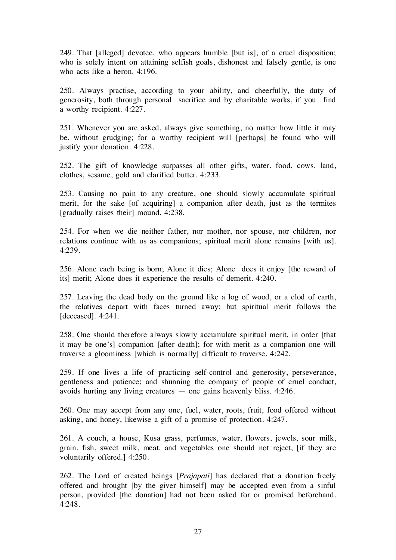249. That [alleged] devotee, who appears humble [but is], of a cruel disposition; who is solely intent on attaining selfish goals, dishonest and falsely gentle, is one who acts like a heron. 4:196.

250. Always practise, according to your ability, and cheerfully, the duty of generosity, both through personal sacrifice and by charitable works, if you find a worthy recipient. 4:227.

251. Whenever you are asked, always give something, no matter how little it may be, without grudging; for a worthy recipient will [perhaps] be found who will justify your donation. 4:228.

252. The gift of knowledge surpasses all other gifts, water, food, cows, land, clothes, sesame, gold and clarified butter. 4:233.

253. Causing no pain to any creature, one should slowly accumulate spiritual merit, for the sake [of acquiring] a companion after death, just as the termites [gradually raises their] mound. 4:238.

254. For when we die neither father, nor mother, nor spouse, nor children, nor relations continue with us as companions; spiritual merit alone remains [with us]. 4:239.

256. Alone each being is born; Alone it dies; Alone does it enjoy [the reward of its] merit; Alone does it experience the results of demerit. 4:240.

257. Leaving the dead body on the ground like a log of wood, or a clod of earth, the relatives depart with faces turned away; but spiritual merit follows the [deceased]. 4:241.

258. One should therefore always slowly accumulate spiritual merit, in order [that it may be one's] companion [after death]; for with merit as a companion one will traverse a gloominess [which is normally] difficult to traverse. 4:242.

259. If one lives a life of practicing self-control and generosity, perseverance, gentleness and patience; and shunning the company of people of cruel conduct, avoids hurting any living creatures — one gains heavenly bliss. 4:246.

260. One may accept from any one, fuel, water, roots, fruit, food offered without asking, and honey, likewise a gift of a promise of protection. 4:247.

261. A couch, a house, Kusa grass, perfumes, water, flowers, jewels, sour milk, grain, fish, sweet milk, meat, and vegetables one should not reject, [if they are voluntarily offered.] 4:250.

262. The Lord of created beings [Prajapati] has declared that a donation freely offered and brought [by the giver himself] may be accepted even from a sinful person, provided [the donation] had not been asked for or promised beforehand. 4:248.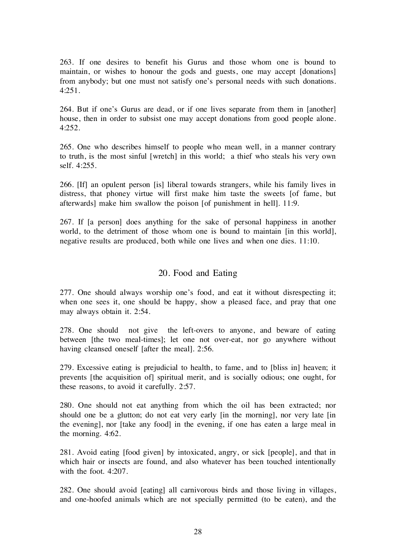263. If one desires to benefit his Gurus and those whom one is bound to maintain, or wishes to honour the gods and guests, one may accept [donations] from anybody; but one must not satisfy one's personal needs with such donations. 4:251.

264. But if one's Gurus are dead, or if one lives separate from them in [another] house, then in order to subsist one may accept donations from good people alone. 4:252.

265. One who describes himself to people who mean well, in a manner contrary to truth, is the most sinful [wretch] in this world; a thief who steals his very own self. 4:255.

266. [If] an opulent person [is] liberal towards strangers, while his family lives in distress, that phoney virtue will first make him taste the sweets [of fame, but afterwards] make him swallow the poison [of punishment in hell]. 11:9.

267. If [a person] does anything for the sake of personal happiness in another world, to the detriment of those whom one is bound to maintain [in this world], negative results are produced, both while one lives and when one dies. 11:10.

#### 20. Food and Eating

277. One should always worship one's food, and eat it without disrespecting it; when one sees it, one should be happy, show a pleased face, and pray that one may always obtain it. 2:54.

278. One should not give the left-overs to anyone, and beware of eating between [the two meal-times]; let one not over-eat, nor go anywhere without having cleansed oneself [after the meal]. 2:56.

279. Excessive eating is prejudicial to health, to fame, and to [bliss in] heaven; it prevents [the acquisition of] spiritual merit, and is socially odious; one ought, for these reasons, to avoid it carefully. 2:57.

280. One should not eat anything from which the oil has been extracted; nor should one be a glutton; do not eat very early [in the morning], nor very late [in the evening], nor [take any food] in the evening, if one has eaten a large meal in the morning. 4:62.

281. Avoid eating [food given] by intoxicated, angry, or sick [people], and that in which hair or insects are found, and also whatever has been touched intentionally with the foot. 4:207.

282. One should avoid [eating] all carnivorous birds and those living in villages, and one-hoofed animals which are not specially permitted (to be eaten), and the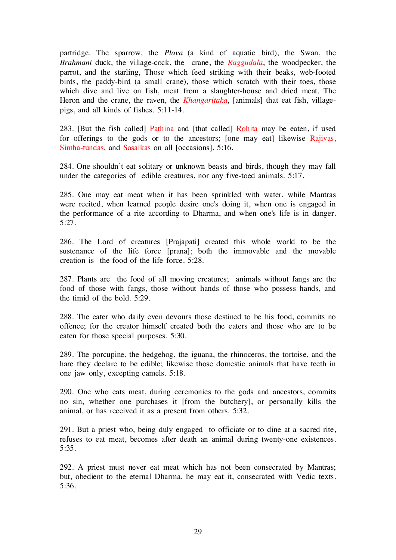partridge. The sparrow, the Plava (a kind of aquatic bird), the Swan, the Brahmani duck, the village-cock, the crane, the Raggudala, the woodpecker, the parrot, and the starling, Those which feed striking with their beaks, web-footed birds, the paddy-bird (a small crane), those which scratch with their toes, those which dive and live on fish, meat from a slaughter-house and dried meat. The Heron and the crane, the raven, the *Khangaritaka*, [animals] that eat fish, villagepigs, and all kinds of fishes. 5:11-14.

283. [But the fish called] Pathina and [that called] Rohita may be eaten, if used for offerings to the gods or to the ancestors; [one may eat] likewise Rajivas, Simha-tundas, and Sasalkas on all [occasions]. 5:16.

284. One shouldn't eat solitary or unknown beasts and birds, though they may fall under the categories of edible creatures, nor any five-toed animals. 5:17.

285. One may eat meat when it has been sprinkled with water, while Mantras were recited, when learned people desire one's doing it, when one is engaged in the performance of a rite according to Dharma, and when one's life is in danger. 5:27.

286. The Lord of creatures [Prajapati] created this whole world to be the sustenance of the life force [prana]; both the immovable and the movable creation is the food of the life force. 5:28.

287. Plants are the food of all moving creatures; animals without fangs are the food of those with fangs, those without hands of those who possess hands, and the timid of the bold. 5:29.

288. The eater who daily even devours those destined to be his food, commits no offence; for the creator himself created both the eaters and those who are to be eaten for those special purposes. 5:30.

289. The porcupine, the hedgehog, the iguana, the rhinoceros, the tortoise, and the hare they declare to be edible; likewise those domestic animals that have teeth in one jaw only, excepting camels. 5:18.

290. One who eats meat, during ceremonies to the gods and ancestors, commits no sin, whether one purchases it [from the butchery], or personally kills the animal, or has received it as a present from others. 5:32.

291. But a priest who, being duly engaged to officiate or to dine at a sacred rite, refuses to eat meat, becomes after death an animal during twenty-one existences. 5:35.

292. A priest must never eat meat which has not been consecrated by Mantras; but, obedient to the eternal Dharma, he may eat it, consecrated with Vedic texts. 5:36.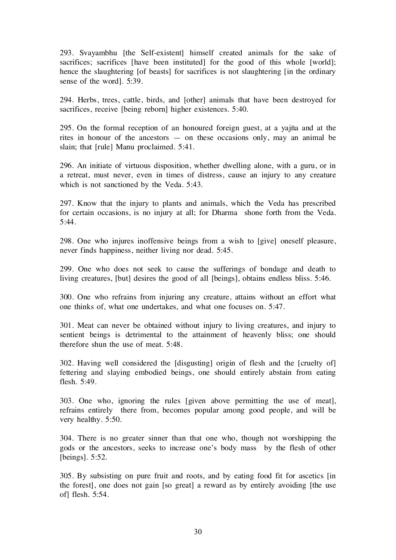293. Svayambhu [the Self-existent] himself created animals for the sake of sacrifices; sacrifices [have been instituted] for the good of this whole [world]; hence the slaughtering [of beasts] for sacrifices is not slaughtering [in the ordinary sense of the word]. 5:39.

294. Herbs, trees, cattle, birds, and [other] animals that have been destroyed for sacrifices, receive [being reborn] higher existences. 5:40.

295. On the formal reception of an honoured foreign guest, at a yajña and at the rites in honour of the ancestors — on these occasions only, may an animal be slain; that [rule] Manu proclaimed. 5:41.

296. An initiate of virtuous disposition, whether dwelling alone, with a guru, or in a retreat, must never, even in times of distress, cause an injury to any creature which is not sanctioned by the Veda. 5:43.

297. Know that the injury to plants and animals, which the Veda has prescribed for certain occasions, is no injury at all; for Dharma shone forth from the Veda.  $5:44.$ 

298. One who injures inoffensive beings from a wish to [give] oneself pleasure, never finds happiness, neither living nor dead. 5:45.

299. One who does not seek to cause the sufferings of bondage and death to living creatures, [but] desires the good of all [beings], obtains endless bliss. 5:46.

300. One who refrains from injuring any creature, attains without an effort what one thinks of, what one undertakes, and what one focuses on. 5:47.

301. Meat can never be obtained without injury to living creatures, and injury to sentient beings is detrimental to the attainment of heavenly bliss; one should therefore shun the use of meat. 5:48.

302. Having well considered the [disgusting] origin of flesh and the [cruelty of] fettering and slaying embodied beings, one should entirely abstain from eating flesh. 5:49.

303. One who, ignoring the rules [given above permitting the use of meat], refrains entirely there from, becomes popular among good people, and will be very healthy. 5:50.

304. There is no greater sinner than that one who, though not worshipping the gods or the ancestors, seeks to increase one's body mass by the flesh of other [beings]. 5:52.

305. By subsisting on pure fruit and roots, and by eating food fit for ascetics [in the forest], one does not gain [so great] a reward as by entirely avoiding [the use of] flesh. 5:54.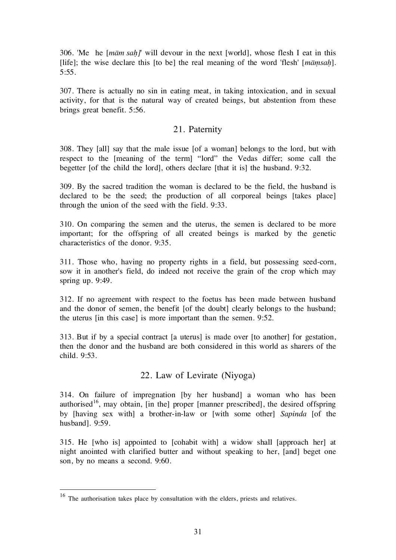306. 'Me he  $[\text{m\bar{a}m\text{ }\text{s}ah']$ ' will devour in the next [world], whose flesh I eat in this [life]; the wise declare this [to be] the real meaning of the word 'flesh'  $[m\bar{a}msah]$ . 5:55.

307. There is actually no sin in eating meat, in taking intoxication, and in sexual activity, for that is the natural way of created beings, but abstention from these brings great benefit. 5:56.

#### 21. Paternity

308. They [all] say that the male issue [of a woman] belongs to the lord, but with respect to the [meaning of the term] "lord" the Vedas differ; some call the begetter [of the child the lord], others declare [that it is] the husband. 9:32.

309. By the sacred tradition the woman is declared to be the field, the husband is declared to be the seed; the production of all corporeal beings [takes place] through the union of the seed with the field. 9:33.

310. On comparing the semen and the uterus, the semen is declared to be more important; for the offspring of all created beings is marked by the genetic characteristics of the donor. 9:35.

311. Those who, having no property rights in a field, but possessing seed-corn, sow it in another's field, do indeed not receive the grain of the crop which may spring up. 9:49.

312. If no agreement with respect to the foetus has been made between husband and the donor of semen, the benefit [of the doubt] clearly belongs to the husband; the uterus [in this case] is more important than the semen. 9:52.

313. But if by a special contract [a uterus] is made over [to another] for gestation, then the donor and the husband are both considered in this world as sharers of the child. 9:53.

#### 22. Law of Levirate (Niyoga)

314. On failure of impregnation [by her husband] a woman who has been authorised<sup>16</sup>, may obtain, [in the] proper [manner prescribed], the desired offspring by [having sex with] a brother-in-law or [with some other] Sapinda [of the husband]. 9:59.

315. He [who is] appointed to [cohabit with] a widow shall [approach her] at night anointed with clarified butter and without speaking to her, [and] beget one son, by no means a second. 9:60.

 <sup>16</sup> The authorisation takes place by consultation with the elders, priests and relatives.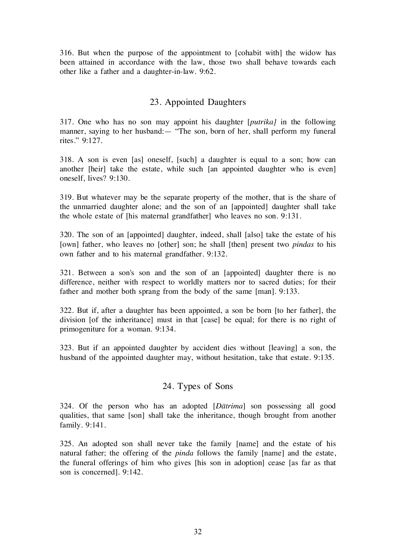316. But when the purpose of the appointment to [cohabit with] the widow has been attained in accordance with the law, those two shall behave towards each other like a father and a daughter-in-law. 9:62.

# 23. Appointed Daughters

317. One who has no son may appoint his daughter [putrika] in the following manner, saying to her husband:— "The son, born of her, shall perform my funeral rites." 9:127.

318. A son is even [as] oneself, [such] a daughter is equal to a son; how can another [heir] take the estate, while such [an appointed daughter who is even] oneself, lives? 9:130.

319. But whatever may be the separate property of the mother, that is the share of the unmarried daughter alone; and the son of an [appointed] daughter shall take the whole estate of [his maternal grandfather] who leaves no son. 9:131.

320. The son of an [appointed] daughter, indeed, shall [also] take the estate of his [own] father, who leaves no [other] son; he shall [then] present two *pindas* to his own father and to his maternal grandfather. 9:132.

321. Between a son's son and the son of an [appointed] daughter there is no difference, neither with respect to worldly matters nor to sacred duties; for their father and mother both sprang from the body of the same [man]. 9:133.

322. But if, after a daughter has been appointed, a son be born [to her father], the division [of the inheritance] must in that [case] be equal; for there is no right of primogeniture for a woman. 9:134.

323. But if an appointed daughter by accident dies without [leaving] a son, the husband of the appointed daughter may, without hesitation, take that estate. 9:135.

# 24. Types of Sons

324. Of the person who has an adopted [Dåtrima] son possessing all good qualities, that same [son] shall take the inheritance, though brought from another family. 9:141.

325. An adopted son shall never take the family [name] and the estate of his natural father; the offering of the pinda follows the family [name] and the estate, the funeral offerings of him who gives [his son in adoption] cease [as far as that son is concerned]. 9:142.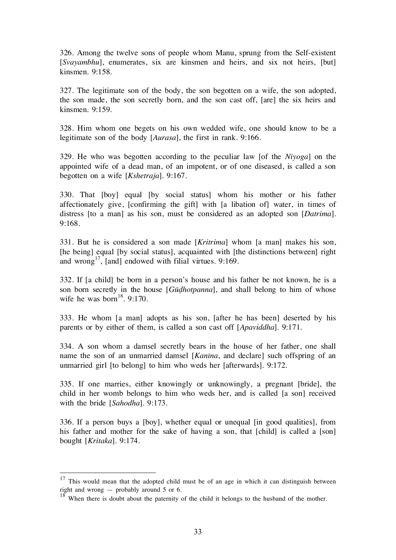326. Among the twelve sons of people whom Manu, sprung from the Self-existent [Svayambhu], enumerates, six are kinsmen and heirs, and six not heirs, [but] kinsmen. 9:158.

327. The legitimate son of the body, the son begotten on a wife, the son adopted, the son made, the son secretly born, and the son cast off, [are] the six heirs and kinsmen. 9:159.

328. Him whom one begets on his own wedded wife, one should know to be a legitimate son of the body [Aurasa], the first in rank. 9:166.

329. He who was begotten according to the peculiar law [of the Niyoga] on the appointed wife of a dead man, of an impotent, or of one diseased, is called a son begotten on a wife [Kshetraja]. 9:167.

330. That [boy] equal [by social status] whom his mother or his father affectionately give, [confirming the gift] with [a libation of] water, in times of distress [to a man] as his son, must be considered as an adopted son [Datrima]. 9:168.

331. But he is considered a son made [Kritrima] whom [a man] makes his son, [he being] equal [by social status], acquainted with [the distinctions between] right and wrong<sup>17</sup>, [and] endowed with filial virtues. 9:169.

332. If [a child] be born in a person's house and his father be not known, he is a son born secretly in the house [Gūdhotpanna], and shall belong to him of whose wife he was born<sup>18</sup>. 9:170.

333. He whom [a man] adopts as his son, [after he has been] deserted by his parents or by either of them, is called a son cast off [Apaviddha]. 9:171.

334. A son whom a damsel secretly bears in the house of her father, one shall name the son of an unmarried damsel [*Kanīna*, and declare] such offspring of an unmarried girl [to belong] to him who weds her [afterwards]. 9:172.

335. If one marries, either knowingly or unknowingly, a pregnant [bride], the child in her womb belongs to him who weds her, and is called [a son] received with the bride [Sahodha]. 9:173.

336. If a person buys a [boy], whether equal or unequal [in good qualities], from his father and mother for the sake of having a son, that [child] is called a [son] bought [Kritaka]. 9:174.

 $17$  This would mean that the adopted child must be of an age in which it can distinguish between right and wrong — probably around 5 or 6.

 $18$ <sup>18</sup> When there is doubt about the paternity of the child it belongs to the husband of the mother.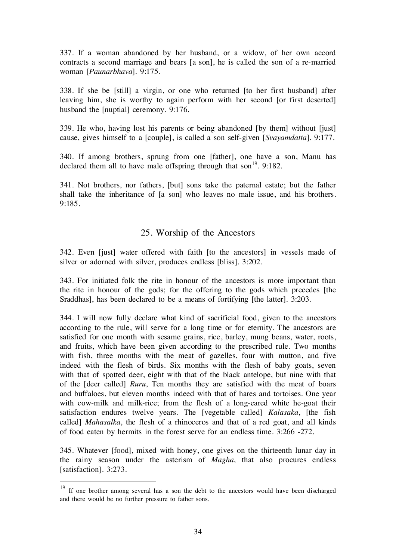337. If a woman abandoned by her husband, or a widow, of her own accord contracts a second marriage and bears [a son], he is called the son of a re-married woman [Paunarbhava]. 9:175.

338. If she be [still] a virgin, or one who returned [to her first husband] after leaving him, she is worthy to again perform with her second [or first deserted] husband the [nuptial] ceremony. 9:176.

339. He who, having lost his parents or being abandoned [by them] without [just] cause, gives himself to a [couple], is called a son self-given [Svayamdatta]. 9:177.

340. If among brothers, sprung from one [father], one have a son, Manu has declared them all to have male offspring through that son<sup>19</sup>. 9:182.

341. Not brothers, nor fathers, [but] sons take the paternal estate; but the father shall take the inheritance of [a son] who leaves no male issue, and his brothers. 9:185.

#### 25. Worship of the Ancestors

342. Even [just] water offered with faith [to the ancestors] in vessels made of silver or adorned with silver, produces endless [bliss]. 3:202.

343. For initiated folk the rite in honour of the ancestors is more important than the rite in honour of the gods; for the offering to the gods which precedes [the Sraddhas], has been declared to be a means of fortifying [the latter]. 3:203.

344. I will now fully declare what kind of sacrificial food, given to the ancestors according to the rule, will serve for a long time or for eternity. The ancestors are satisfied for one month with sesame grains, rice, barley, mung beans, water, roots, and fruits, which have been given according to the prescribed rule. Two months with fish, three months with the meat of gazelles, four with mutton, and five indeed with the flesh of birds. Six months with the flesh of baby goats, seven with that of spotted deer, eight with that of the black antelope, but nine with that of the [deer called] Ruru, Ten months they are satisfied with the meat of boars and buffaloes, but eleven months indeed with that of hares and tortoises. One year with cow-milk and milk-rice; from the flesh of a long-eared white he-goat their satisfaction endures twelve years. The [vegetable called] Kalasaka, [the fish called] Mahasalka, the flesh of a rhinoceros and that of a red goat, and all kinds of food eaten by hermits in the forest serve for an endless time. 3:266 -272.

345. Whatever [food], mixed with honey, one gives on the thirteenth lunar day in the rainy season under the asterism of Magha, that also procures endless [satisfaction]. 3:273.

<sup>&</sup>lt;sup>19</sup> If one brother among several has a son the debt to the ancestors would have been discharged and there would be no further pressure to father sons.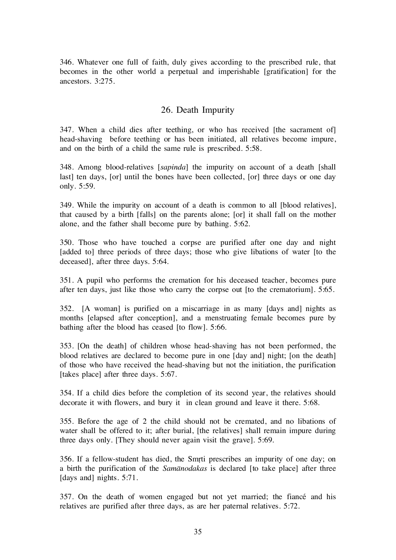346. Whatever one full of faith, duly gives according to the prescribed rule, that becomes in the other world a perpetual and imperishable [gratification] for the ancestors. 3:275.

#### 26. Death Impurity

347. When a child dies after teething, or who has received [the sacrament of] head-shaving before teething or has been initiated, all relatives become impure, and on the birth of a child the same rule is prescribed. 5:58.

348. Among blood-relatives [sapinda] the impurity on account of a death [shall last] ten days, [or] until the bones have been collected, [or] three days or one day only. 5:59.

349. While the impurity on account of a death is common to all [blood relatives], that caused by a birth [falls] on the parents alone; [or] it shall fall on the mother alone, and the father shall become pure by bathing. 5:62.

350. Those who have touched a corpse are purified after one day and night [added to] three periods of three days; those who give libations of water [to the deceased], after three days. 5:64.

351. A pupil who performs the cremation for his deceased teacher, becomes pure after ten days, just like those who carry the corpse out [to the crematorium]. 5:65.

352. [A woman] is purified on a miscarriage in as many [days and] nights as months [elapsed after conception], and a menstruating female becomes pure by bathing after the blood has ceased [to flow]. 5:66.

353. [On the death] of children whose head-shaving has not been performed, the blood relatives are declared to become pure in one [day and] night; [on the death] of those who have received the head-shaving but not the initiation, the purification [takes place] after three days. 5:67.

354. If a child dies before the completion of its second year, the relatives should decorate it with flowers, and bury it in clean ground and leave it there. 5:68.

355. Before the age of 2 the child should not be cremated, and no libations of water shall be offered to it; after burial, [the relatives] shall remain impure during three days only. [They should never again visit the grave]. 5:69.

356. If a fellow-student has died, the Smrti prescribes an impurity of one day; on a birth the purification of the Samånodakas is declared [to take place] after three [days and] nights. 5:71.

357. On the death of women engaged but not yet married; the fiancé and his relatives are purified after three days, as are her paternal relatives. 5:72.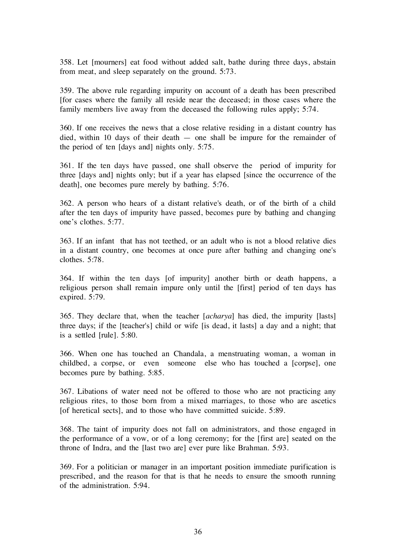358. Let [mourners] eat food without added salt, bathe during three days, abstain from meat, and sleep separately on the ground. 5:73.

359. The above rule regarding impurity on account of a death has been prescribed [for cases where the family all reside near the deceased; in those cases where the family members live away from the deceased the following rules apply; 5:74.

360. If one receives the news that a close relative residing in a distant country has died, within 10 days of their death — one shall be impure for the remainder of the period of ten [days and] nights only. 5:75.

361. If the ten days have passed, one shall observe the period of impurity for three [days and] nights only; but if a year has elapsed [since the occurrence of the death], one becomes pure merely by bathing. 5:76.

362. A person who hears of a distant relative's death, or of the birth of a child after the ten days of impurity have passed, becomes pure by bathing and changing one's clothes. 5:77.

363. If an infant that has not teethed, or an adult who is not a blood relative dies in a distant country, one becomes at once pure after bathing and changing one's clothes. 5:78.

364. If within the ten days [of impurity] another birth or death happens, a religious person shall remain impure only until the [first] period of ten days has expired. 5:79.

365. They declare that, when the teacher [acharya] has died, the impurity [lasts] three days; if the [teacher's] child or wife [is dead, it lasts] a day and a night; that is a settled [rule]. 5:80.

366. When one has touched an Chandala, a menstruating woman, a woman in childbed, a corpse, or even someone else who has touched a [corpse], one becomes pure by bathing. 5:85.

367. Libations of water need not be offered to those who are not practicing any religious rites, to those born from a mixed marriages, to those who are ascetics [of heretical sects], and to those who have committed suicide. 5:89.

368. The taint of impurity does not fall on administrators, and those engaged in the performance of a vow, or of a long ceremony; for the [first are] seated on the throne of Indra, and the [last two are] ever pure like Brahman. 5:93.

369. For a politician or manager in an important position immediate purification is prescribed, and the reason for that is that he needs to ensure the smooth running of the administration. 5:94.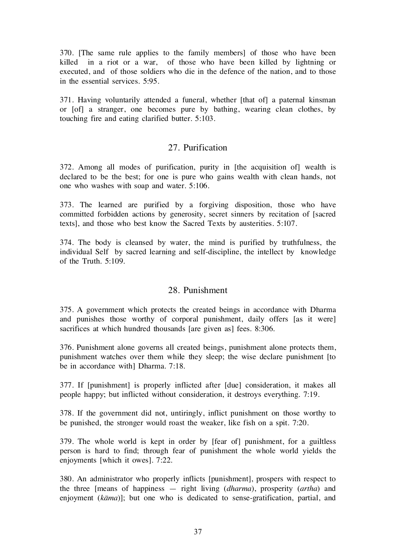370. [The same rule applies to the family members] of those who have been killed in a riot or a war, of those who have been killed by lightning or executed, and of those soldiers who die in the defence of the nation, and to those in the essential services. 5:95.

371. Having voluntarily attended a funeral, whether [that of] a paternal kinsman or [of] a stranger, one becomes pure by bathing, wearing clean clothes, by touching fire and eating clarified butter. 5:103.

# 27. Purification

372. Among all modes of purification, purity in [the acquisition of] wealth is declared to be the best; for one is pure who gains wealth with clean hands, not one who washes with soap and water. 5:106.

373. The learned are purified by a forgiving disposition, those who have committed forbidden actions by generosity, secret sinners by recitation of [sacred texts], and those who best know the Sacred Texts by austerities. 5:107.

374. The body is cleansed by water, the mind is purified by truthfulness, the individual Self by sacred learning and self-discipline, the intellect by knowledge of the Truth. 5:109.

#### 28. Punishment

375. A government which protects the created beings in accordance with Dharma and punishes those worthy of corporal punishment, daily offers [as it were] sacrifices at which hundred thousands [are given as] fees. 8:306.

376. Punishment alone governs all created beings, punishment alone protects them, punishment watches over them while they sleep; the wise declare punishment [to be in accordance with] Dharma. 7:18.

377. If [punishment] is properly inflicted after [due] consideration, it makes all people happy; but inflicted without consideration, it destroys everything. 7:19.

378. If the government did not, untiringly, inflict punishment on those worthy to be punished, the stronger would roast the weaker, like fish on a spit. 7:20.

379. The whole world is kept in order by [fear of] punishment, for a guiltless person is hard to find; through fear of punishment the whole world yields the enjoyments [which it owes]. 7:22.

380. An administrator who properly inflicts [punishment], prospers with respect to the three [means of happiness — right living (dharma), prosperity (artha) and enjoyment (kāma)]; but one who is dedicated to sense-gratification, partial, and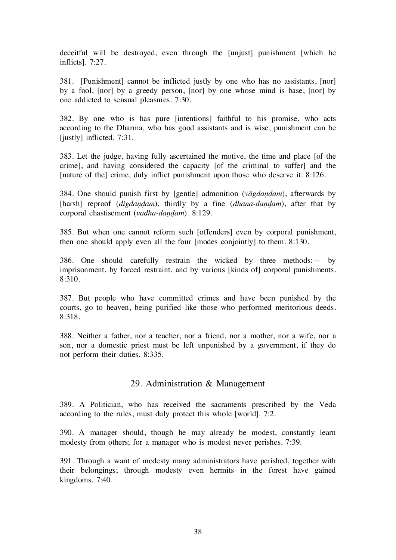deceitful will be destroyed, even through the [unjust] punishment [which he inflicts]. 7:27.

381. [Punishment] cannot be inflicted justly by one who has no assistants, [nor] by a fool, [nor] by a greedy person, [nor] by one whose mind is base, [nor] by one addicted to sensual pleasures. 7:30.

382. By one who is has pure [intentions] faithful to his promise, who acts according to the Dharma, who has good assistants and is wise, punishment can be [justly] inflicted. 7:31.

383. Let the judge, having fully ascertained the motive, the time and place [of the crime], and having considered the capacity [of the criminal to suffer] and the [nature of the] crime, duly inflict punishment upon those who deserve it. 8:126.

384. One should punish first by [gentle] admonition ( $v\bar{a}gda\eta d\alpha m$ ), afterwards by [harsh] reproof (digdandam), thirdly by a fine (dhana-dandam), after that by corporal chastisement (vadha-dandam). 8:129.

385. But when one cannot reform such [offenders] even by corporal punishment, then one should apply even all the four [modes conjointly] to them. 8:130.

386. One should carefully restrain the wicked by three methods:— by imprisonment, by forced restraint, and by various [kinds of] corporal punishments. 8:310.

387. But people who have committed crimes and have been punished by the courts, go to heaven, being purified like those who performed meritorious deeds. 8:318.

388. Neither a father, nor a teacher, nor a friend, nor a mother, nor a wife, nor a son, nor a domestic priest must be left unpunished by a government, if they do not perform their duties. 8:335.

#### 29. Administration & Management

389. A Politician, who has received the sacraments prescribed by the Veda according to the rules, must duly protect this whole [world]. 7:2.

390. A manager should, though he may already be modest, constantly learn modesty from others; for a manager who is modest never perishes. 7:39.

391. Through a want of modesty many administrators have perished, together with their belongings; through modesty even hermits in the forest have gained kingdoms. 7:40.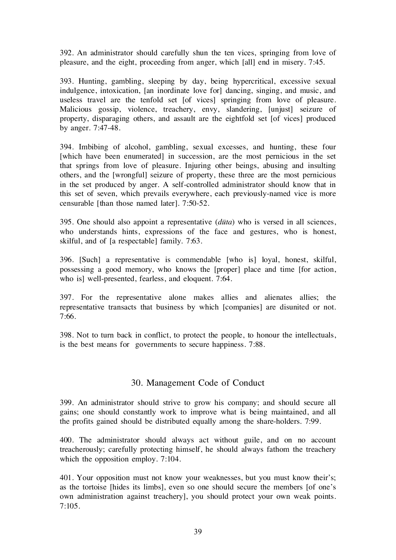392. An administrator should carefully shun the ten vices, springing from love of pleasure, and the eight, proceeding from anger, which [all] end in misery. 7:45.

393. Hunting, gambling, sleeping by day, being hypercritical, excessive sexual indulgence, intoxication, [an inordinate love for] dancing, singing, and music, and useless travel are the tenfold set [of vices] springing from love of pleasure. Malicious gossip, violence, treachery, envy, slandering, [unjust] seizure of property, disparaging others, and assault are the eightfold set [of vices] produced by anger. 7:47-48.

394. Imbibing of alcohol, gambling, sexual excesses, and hunting, these four [which have been enumerated] in succession, are the most pernicious in the set that springs from love of pleasure. Injuring other beings, abusing and insulting others, and the [wrongful] seizure of property, these three are the most pernicious in the set produced by anger. A self-controlled administrator should know that in this set of seven, which prevails everywhere, each previously-named vice is more censurable [than those named later]. 7:50-52.

395. One should also appoint a representative  $(dūta)$  who is versed in all sciences, who understands hints, expressions of the face and gestures, who is honest, skilful, and of [a respectable] family. 7:63.

396. [Such] a representative is commendable [who is] loyal, honest, skilful, possessing a good memory, who knows the [proper] place and time [for action, who is] well-presented, fearless, and eloquent. 7:64.

397. For the representative alone makes allies and alienates allies; the representative transacts that business by which [companies] are disunited or not. 7:66.

398. Not to turn back in conflict, to protect the people, to honour the intellectuals, is the best means for governments to secure happiness. 7:88.

#### 30. Management Code of Conduct

399. An administrator should strive to grow his company; and should secure all gains; one should constantly work to improve what is being maintained, and all the profits gained should be distributed equally among the share-holders. 7:99.

400. The administrator should always act without guile, and on no account treacherously; carefully protecting himself, he should always fathom the treachery which the opposition employ. 7:104.

401. Your opposition must not know your weaknesses, but you must know their's; as the tortoise [hides its limbs], even so one should secure the members [of one's own administration against treachery], you should protect your own weak points. 7:105.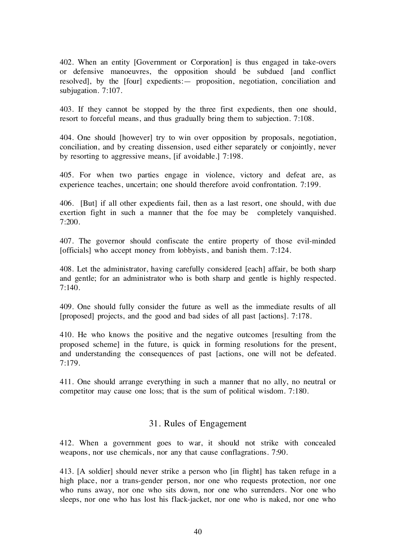402. When an entity [Government or Corporation] is thus engaged in take-overs or defensive manoeuvres, the opposition should be subdued [and conflict resolved], by the [four] expedients:— proposition, negotiation, conciliation and subjugation. 7:107.

403. If they cannot be stopped by the three first expedients, then one should, resort to forceful means, and thus gradually bring them to subjection. 7:108.

404. One should [however] try to win over opposition by proposals, negotiation, conciliation, and by creating dissension, used either separately or conjointly, never by resorting to aggressive means, [if avoidable.] 7:198.

405. For when two parties engage in violence, victory and defeat are, as experience teaches, uncertain; one should therefore avoid confrontation. 7:199.

406. [But] if all other expedients fail, then as a last resort, one should, with due exertion fight in such a manner that the foe may be completely vanquished. 7:200.

407. The governor should confiscate the entire property of those evil-minded [officials] who accept money from lobbyists, and banish them. 7:124.

408. Let the administrator, having carefully considered [each] affair, be both sharp and gentle; for an administrator who is both sharp and gentle is highly respected.  $7:140.$ 

409. One should fully consider the future as well as the immediate results of all [proposed] projects, and the good and bad sides of all past [actions]. 7:178.

410. He who knows the positive and the negative outcomes [resulting from the proposed scheme] in the future, is quick in forming resolutions for the present, and understanding the consequences of past [actions, one will not be defeated. 7:179.

411. One should arrange everything in such a manner that no ally, no neutral or competitor may cause one loss; that is the sum of political wisdom. 7:180.

#### 31. Rules of Engagement

412. When a government goes to war, it should not strike with concealed weapons, nor use chemicals, nor any that cause conflagrations. 7:90.

413. [A soldier] should never strike a person who [in flight] has taken refuge in a high place, nor a trans-gender person, nor one who requests protection, nor one who runs away, nor one who sits down, nor one who surrenders. Nor one who sleeps, nor one who has lost his flack-jacket, nor one who is naked, nor one who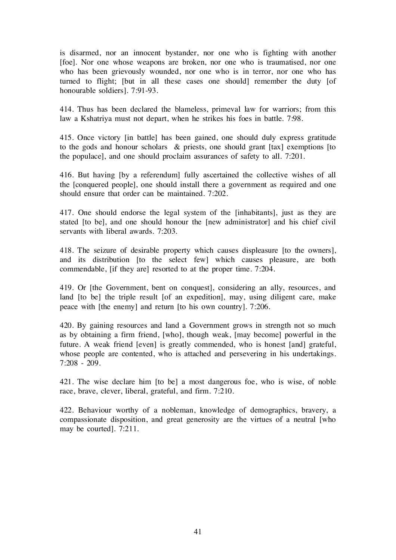is disarmed, nor an innocent bystander, nor one who is fighting with another [foe]. Nor one whose weapons are broken, nor one who is traumatised, nor one who has been grievously wounded, nor one who is in terror, nor one who has turned to flight; [but in all these cases one should] remember the duty [of honourable soldiers]. 7:91-93.

414. Thus has been declared the blameless, primeval law for warriors; from this law a Kshatriya must not depart, when he strikes his foes in battle. 7:98.

415. Once victory [in battle] has been gained, one should duly express gratitude to the gods and honour scholars & priests, one should grant [tax] exemptions [to the populace], and one should proclaim assurances of safety to all. 7:201.

416. But having [by a referendum] fully ascertained the collective wishes of all the [conquered people], one should install there a government as required and one should ensure that order can be maintained. 7:202.

417. One should endorse the legal system of the [inhabitants], just as they are stated [to be], and one should honour the [new administrator] and his chief civil servants with liberal awards. 7:203.

418. The seizure of desirable property which causes displeasure [to the owners], and its distribution [to the select few] which causes pleasure, are both commendable, [if they are] resorted to at the proper time. 7:204.

419. Or [the Government, bent on conquest], considering an ally, resources, and land [to be] the triple result [of an expedition], may, using diligent care, make peace with [the enemy] and return [to his own country]. 7:206.

420. By gaining resources and land a Government grows in strength not so much as by obtaining a firm friend, [who], though weak, [may become] powerful in the future. A weak friend [even] is greatly commended, who is honest [and] grateful, whose people are contented, who is attached and persevering in his undertakings. 7:208 - 209.

421. The wise declare him [to be] a most dangerous foe, who is wise, of noble race, brave, clever, liberal, grateful, and firm. 7:210.

422. Behaviour worthy of a nobleman, knowledge of demographics, bravery, a compassionate disposition, and great generosity are the virtues of a neutral [who may be courted]. 7:211.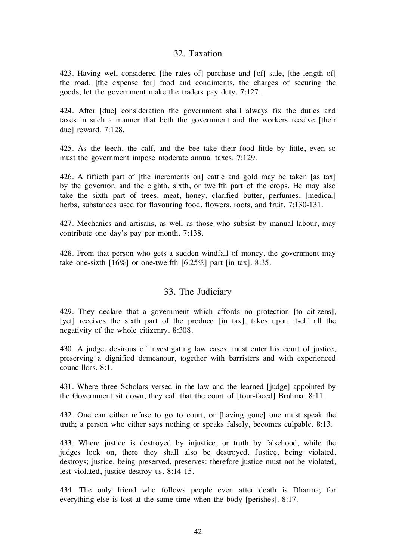#### 32. Taxation

423. Having well considered [the rates of] purchase and [of] sale, [the length of] the road, [the expense for] food and condiments, the charges of securing the goods, let the government make the traders pay duty. 7:127.

424. After [due] consideration the government shall always fix the duties and taxes in such a manner that both the government and the workers receive [their due] reward. 7:128.

425. As the leech, the calf, and the bee take their food little by little, even so must the government impose moderate annual taxes. 7:129.

426. A fiftieth part of [the increments on] cattle and gold may be taken [as tax] by the governor, and the eighth, sixth, or twelfth part of the crops. He may also take the sixth part of trees, meat, honey, clarified butter, perfumes, [medical] herbs, substances used for flavouring food, flowers, roots, and fruit. 7:130-131.

427. Mechanics and artisans, as well as those who subsist by manual labour, may contribute one day's pay per month. 7:138.

428. From that person who gets a sudden windfall of money, the government may take one-sixth [16%] or one-twelfth [6.25%] part [in tax]. 8:35.

#### 33. The Judiciary

429. They declare that a government which affords no protection [to citizens], [yet] receives the sixth part of the produce [in tax], takes upon itself all the negativity of the whole citizenry. 8:308.

430. A judge, desirous of investigating law cases, must enter his court of justice, preserving a dignified demeanour, together with barristers and with experienced councillors. 8:1.

431. Where three Scholars versed in the law and the learned [judge] appointed by the Government sit down, they call that the court of [four-faced] Brahma. 8:11.

432. One can either refuse to go to court, or [having gone] one must speak the truth; a person who either says nothing or speaks falsely, becomes culpable. 8:13.

433. Where justice is destroyed by injustice, or truth by falsehood, while the judges look on, there they shall also be destroyed. Justice, being violated, destroys; justice, being preserved, preserves: therefore justice must not be violated, lest violated, justice destroy us. 8:14-15.

434. The only friend who follows people even after death is Dharma; for everything else is lost at the same time when the body [perishes]. 8:17.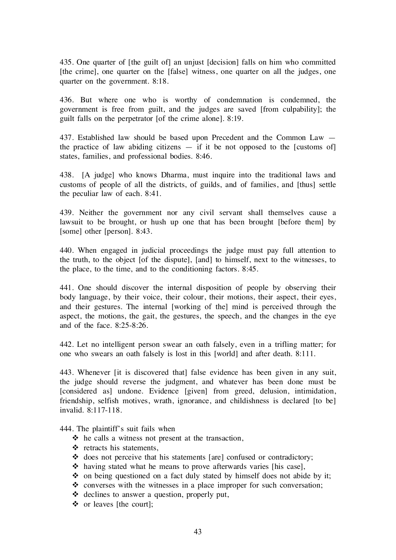435. One quarter of [the guilt of] an unjust [decision] falls on him who committed [the crime], one quarter on the [false] witness, one quarter on all the judges, one quarter on the government. 8:18.

436. But where one who is worthy of condemnation is condemned, the government is free from guilt, and the judges are saved [from culpability]; the guilt falls on the perpetrator [of the crime alone]. 8:19.

437. Established law should be based upon Precedent and the Common Law the practice of law abiding citizens  $-$  if it be not opposed to the [customs of] states, families, and professional bodies. 8:46.

438. [A judge] who knows Dharma, must inquire into the traditional laws and customs of people of all the districts, of guilds, and of families, and [thus] settle the peculiar law of each. 8:41.

439. Neither the government nor any civil servant shall themselves cause a lawsuit to be brought, or hush up one that has been brought [before them] by [some] other [person]. 8:43.

440. When engaged in judicial proceedings the judge must pay full attention to the truth, to the object [of the dispute], [and] to himself, next to the witnesses, to the place, to the time, and to the conditioning factors. 8:45.

441. One should discover the internal disposition of people by observing their body language, by their voice, their colour, their motions, their aspect, their eyes, and their gestures. The internal [working of the] mind is perceived through the aspect, the motions, the gait, the gestures, the speech, and the changes in the eye and of the face.  $8.25 - 8.26$ .

442. Let no intelligent person swear an oath falsely, even in a trifling matter; for one who swears an oath falsely is lost in this [world] and after death. 8:111.

443. Whenever [it is discovered that] false evidence has been given in any suit, the judge should reverse the judgment, and whatever has been done must be [considered as] undone. Evidence [given] from greed, delusion, intimidation, friendship, selfish motives, wrath, ignorance, and childishness is declared [to be] invalid. 8:117-118.

444. The plaintiff's suit fails when

- $\triangle$  he calls a witness not present at the transaction,
- $\triangleleft$  retracts his statements,
- $\triangleleft$  does not perceive that his statements [are] confused or contradictory;
- $\triangle$  having stated what he means to prove afterwards varies [his case],
- $\triangle$  on being questioned on a fact duly stated by himself does not abide by it;
- $\triangle$  converses with the witnesses in a place improper for such conversation;
- declines to answer a question, properly put,
- or leaves [the court];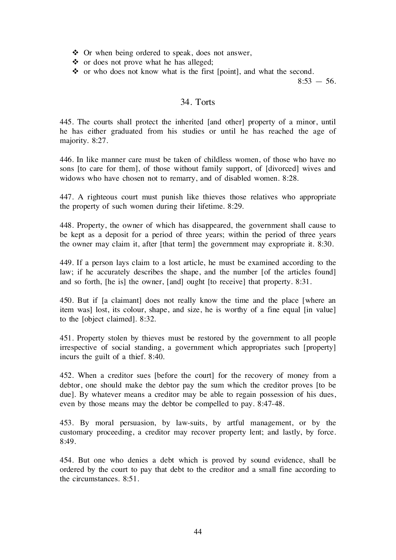Or when being ordered to speak, does not answer,

 $\triangle$  or does not prove what he has alleged;

• or who does not know what is the first [point], and what the second.

 $8:53 - 56$ .

#### 34. Torts

445. The courts shall protect the inherited [and other] property of a minor, until he has either graduated from his studies or until he has reached the age of majority. 8:27.

446. In like manner care must be taken of childless women, of those who have no sons [to care for them], of those without family support, of [divorced] wives and widows who have chosen not to remarry, and of disabled women. 8:28.

447. A righteous court must punish like thieves those relatives who appropriate the property of such women during their lifetime. 8:29.

448. Property, the owner of which has disappeared, the government shall cause to be kept as a deposit for a period of three years; within the period of three years the owner may claim it, after [that term] the government may expropriate it. 8:30.

449. If a person lays claim to a lost article, he must be examined according to the law; if he accurately describes the shape, and the number [of the articles found] and so forth, [he is] the owner, [and] ought [to receive] that property. 8:31.

450. But if [a claimant] does not really know the time and the place [where an item was] lost, its colour, shape, and size, he is worthy of a fine equal [in value] to the [object claimed]. 8:32.

451. Property stolen by thieves must be restored by the government to all people irrespective of social standing, a government which appropriates such [property] incurs the guilt of a thief. 8:40.

452. When a creditor sues [before the court] for the recovery of money from a debtor, one should make the debtor pay the sum which the creditor proves [to be due]. By whatever means a creditor may be able to regain possession of his dues, even by those means may the debtor be compelled to pay. 8:47-48.

453. By moral persuasion, by law-suits, by artful management, or by the customary proceeding, a creditor may recover property lent; and lastly, by force. 8:49.

454. But one who denies a debt which is proved by sound evidence, shall be ordered by the court to pay that debt to the creditor and a small fine according to the circumstances. 8:51.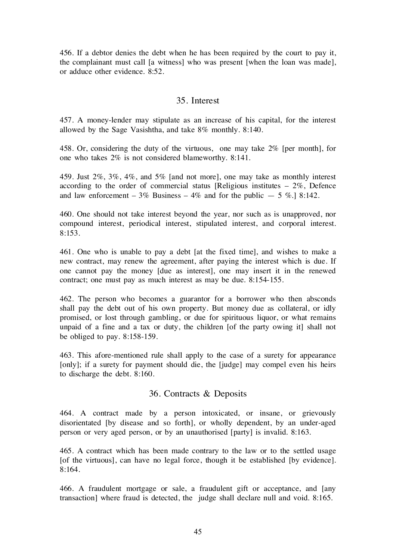456. If a debtor denies the debt when he has been required by the court to pay it, the complainant must call [a witness] who was present [when the loan was made], or adduce other evidence. 8:52.

#### 35. Interest

457. A money-lender may stipulate as an increase of his capital, for the interest allowed by the Sage Vasishtha, and take 8% monthly. 8:140.

458. Or, considering the duty of the virtuous, one may take 2% [per month], for one who takes 2% is not considered blameworthy. 8:141.

459. Just 2%, 3%, 4%, and 5% [and not more], one may take as monthly interest according to the order of commercial status [Religious institutes – 2%, Defence and law enforcement – 3% Business – 4% and for the public  $-5$  %.] 8:142.

460. One should not take interest beyond the year, nor such as is unapproved, nor compound interest, periodical interest, stipulated interest, and corporal interest. 8:153.

461. One who is unable to pay a debt [at the fixed time], and wishes to make a new contract, may renew the agreement, after paying the interest which is due. If one cannot pay the money [due as interest], one may insert it in the renewed contract; one must pay as much interest as may be due. 8:154-155.

462. The person who becomes a guarantor for a borrower who then absconds shall pay the debt out of his own property. But money due as collateral, or idly promised, or lost through gambling, or due for spirituous liquor, or what remains unpaid of a fine and a tax or duty, the children [of the party owing it] shall not be obliged to pay. 8:158-159.

463. This afore-mentioned rule shall apply to the case of a surety for appearance [only]; if a surety for payment should die, the [judge] may compel even his heirs to discharge the debt. 8:160.

#### 36. Contracts & Deposits

464. A contract made by a person intoxicated, or insane, or grievously disorientated [by disease and so forth], or wholly dependent, by an under-aged person or very aged person, or by an unauthorised [party] is invalid. 8:163.

465. A contract which has been made contrary to the law or to the settled usage [of the virtuous], can have no legal force, though it be established [by evidence]. 8:164.

466. A fraudulent mortgage or sale, a fraudulent gift or acceptance, and [any transaction] where fraud is detected, the judge shall declare null and void. 8:165.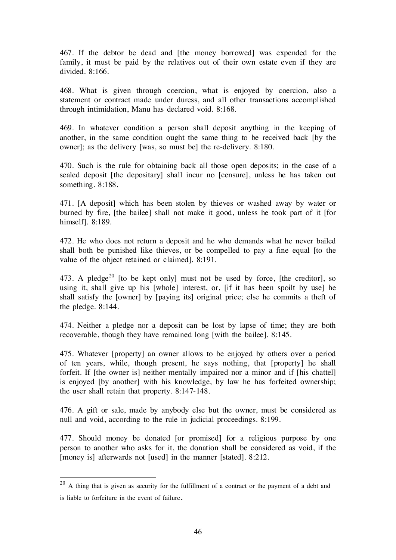467. If the debtor be dead and [the money borrowed] was expended for the family, it must be paid by the relatives out of their own estate even if they are divided. 8:166.

468. What is given through coercion, what is enjoyed by coercion, also a statement or contract made under duress, and all other transactions accomplished through intimidation, Manu has declared void. 8:168.

469. In whatever condition a person shall deposit anything in the keeping of another, in the same condition ought the same thing to be received back [by the owner]; as the delivery [was, so must be] the re-delivery. 8:180.

470. Such is the rule for obtaining back all those open deposits; in the case of a sealed deposit [the depositary] shall incur no [censure], unless he has taken out something. 8:188.

471. [A deposit] which has been stolen by thieves or washed away by water or burned by fire, [the bailee] shall not make it good, unless he took part of it [for himself]. 8:189.

472. He who does not return a deposit and he who demands what he never bailed shall both be punished like thieves, or be compelled to pay a fine equal [to the value of the object retained or claimed]. 8:191.

473. A pledge<sup>20</sup> [to be kept only] must not be used by force, [the creditor], so using it, shall give up his [whole] interest, or, [if it has been spoilt by use] he shall satisfy the [owner] by [paying its] original price; else he commits a theft of the pledge. 8:144.

474. Neither a pledge nor a deposit can be lost by lapse of time; they are both recoverable, though they have remained long [with the bailee]. 8:145.

475. Whatever [property] an owner allows to be enjoyed by others over a period of ten years, while, though present, he says nothing, that [property] he shall forfeit. If [the owner is] neither mentally impaired nor a minor and if [his chattel] is enjoyed [by another] with his knowledge, by law he has forfeited ownership; the user shall retain that property. 8:147-148.

476. A gift or sale, made by anybody else but the owner, must be considered as null and void, according to the rule in judicial proceedings. 8:199.

477. Should money be donated [or promised] for a religious purpose by one person to another who asks for it, the donation shall be considered as void, if the [money is] afterwards not [used] in the manner [stated]. 8:212.

 $20$  A thing that is given as security for the fulfillment of a contract or the payment of a debt and is liable to forfeiture in the event of failure.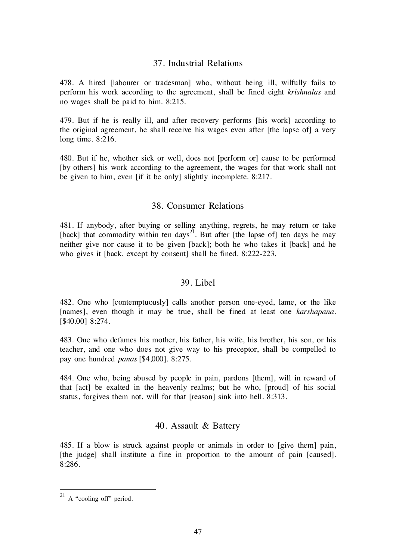# 37. Industrial Relations

478. A hired [labourer or tradesman] who, without being ill, wilfully fails to perform his work according to the agreement, shall be fined eight krishnalas and no wages shall be paid to him. 8:215.

479. But if he is really ill, and after recovery performs [his work] according to the original agreement, he shall receive his wages even after [the lapse of] a very long time. 8:216.

480. But if he, whether sick or well, does not [perform or] cause to be performed [by others] his work according to the agreement, the wages for that work shall not be given to him, even [if it be only] slightly incomplete. 8:217.

# 38. Consumer Relations

481. If anybody, after buying or selling anything, regrets, he may return or take [back] that commodity within ten days<sup>21</sup>. But after [the lapse of] ten days he may neither give nor cause it to be given [back]; both he who takes it [back] and he who gives it [back, except by consent] shall be fined. 8:222-223.

#### 39. Libel

482. One who [contemptuously] calls another person one-eyed, lame, or the like [names], even though it may be true, shall be fined at least one karshapana. [\$40.00] 8:274.

483. One who defames his mother, his father, his wife, his brother, his son, or his teacher, and one who does not give way to his preceptor, shall be compelled to pay one hundred panas [\$4,000]. 8:275.

484. One who, being abused by people in pain, pardons [them], will in reward of that [act] be exalted in the heavenly realms; but he who, [proud] of his social status, forgives them not, will for that [reason] sink into hell. 8:313.

#### 40. Assault & Battery

485. If a blow is struck against people or animals in order to [give them] pain, [the judge] shall institute a fine in proportion to the amount of pain [caused]. 8:286.

 $21$  A "cooling off" period.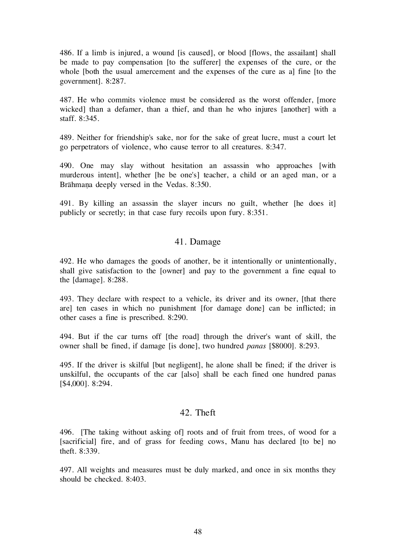486. If a limb is injured, a wound [is caused], or blood [flows, the assailant] shall be made to pay compensation [to the sufferer] the expenses of the cure, or the whole [both the usual amercement and the expenses of the cure as a] fine [to the government]. 8:287.

487. He who commits violence must be considered as the worst offender, [more wicked] than a defamer, than a thief, and than he who injures [another] with a staff. 8:345.

489. Neither for friendship's sake, nor for the sake of great lucre, must a court let go perpetrators of violence, who cause terror to all creatures. 8:347.

490. One may slay without hesitation an assassin who approaches [with murderous intent], whether [he be one's] teacher, a child or an aged man, or a Brāhmana deeply versed in the Vedas. 8:350.

491. By killing an assassin the slayer incurs no guilt, whether [he does it] publicly or secretly; in that case fury recoils upon fury. 8:351.

#### 41. Damage

492. He who damages the goods of another, be it intentionally or unintentionally, shall give satisfaction to the [owner] and pay to the government a fine equal to the [damage]. 8:288.

493. They declare with respect to a vehicle, its driver and its owner, [that there are] ten cases in which no punishment [for damage done] can be inflicted; in other cases a fine is prescribed. 8:290.

494. But if the car turns off [the road] through the driver's want of skill, the owner shall be fined, if damage [is done], two hundred panas [\$8000]. 8:293.

495. If the driver is skilful [but negligent], he alone shall be fined; if the driver is unskilful, the occupants of the car [also] shall be each fined one hundred panas [\$4,000]. 8:294.

#### 42. Theft

496. [The taking without asking of] roots and of fruit from trees, of wood for a [sacrificial] fire, and of grass for feeding cows, Manu has declared [to be] no theft. 8:339.

497. All weights and measures must be duly marked, and once in six months they should be checked. 8:403.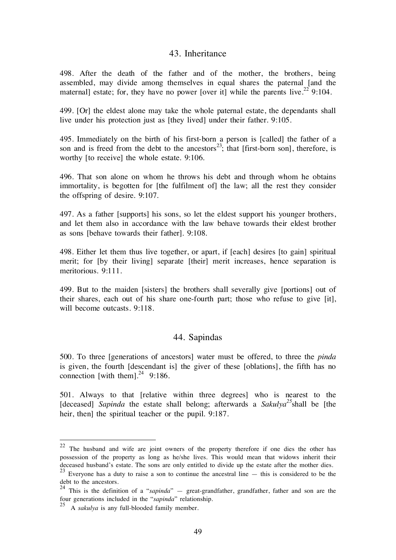#### 43. Inheritance

498. After the death of the father and of the mother, the brothers, being assembled, may divide among themselves in equal shares the paternal [and the maternal] estate; for, they have no power [over it] while the parents live.<sup>22</sup> 9:104.

499. [Or] the eldest alone may take the whole paternal estate, the dependants shall live under his protection just as [they lived] under their father. 9:105.

495. Immediately on the birth of his first-born a person is [called] the father of a son and is freed from the debt to the ancestors<sup>23</sup>; that [first-born son], therefore, is worthy [to receive] the whole estate. 9:106.

496. That son alone on whom he throws his debt and through whom he obtains immortality, is begotten for [the fulfilment of] the law; all the rest they consider the offspring of desire. 9:107.

497. As a father [supports] his sons, so let the eldest support his younger brothers, and let them also in accordance with the law behave towards their eldest brother as sons [behave towards their father]. 9:108.

498. Either let them thus live together, or apart, if [each] desires [to gain] spiritual merit; for [by their living] separate [their] merit increases, hence separation is meritorious. 9:111.

499. But to the maiden [sisters] the brothers shall severally give [portions] out of their shares, each out of his share one-fourth part; those who refuse to give [it], will become outcasts. 9:118.

#### 44. Sapindas

500. To three [generations of ancestors] water must be offered, to three the pinda is given, the fourth [descendant is] the giver of these [oblations], the fifth has no connection [with them]. $^{24}$  9:186.

501. Always to that [relative within three degrees] who is nearest to the [deceased] Sapinda the estate shall belong; afterwards a Sakulya<sup>25</sup>shall be [the heir, then] the spiritual teacher or the pupil. 9:187.

 $22$  The husband and wife are joint owners of the property therefore if one dies the other has possession of the property as long as he/she lives. This would mean that widows inherit their deceased husband's estate. The sons are only entitled to divide up the estate after the mother dies.

<sup>&</sup>lt;sup>23</sup> Everyone has a duty to raise a son to continue the ancestral line  $-$  this is considered to be the debt to the ancestors.

<sup>&</sup>lt;sup>24</sup> This is the definition of a "*sapinda*" — great-grandfather, grandfather, father and son are the four generations included in the "sapinda" relationship.

 $^{25}$  A *sakulya* is any full-blooded family member.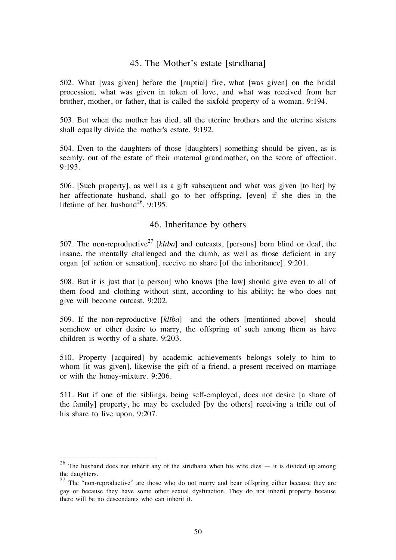#### 45. The Mother's estate [strîdhana]

502. What [was given] before the [nuptial] fire, what [was given] on the bridal procession, what was given in token of love, and what was received from her brother, mother, or father, that is called the sixfold property of a woman. 9:194.

503. But when the mother has died, all the uterine brothers and the uterine sisters shall equally divide the mother's estate. 9:192.

504. Even to the daughters of those [daughters] something should be given, as is seemly, out of the estate of their maternal grandmother, on the score of affection. 9:193.

506. [Such property], as well as a gift subsequent and what was given [to her] by her affectionate husband, shall go to her offspring, [even] if she dies in the lifetime of her husband<sup>26</sup>. 9:195.

# 46. Inheritance by others

507. The non-reproductive<sup>27</sup> [kliba] and outcasts, [persons] born blind or deaf, the insane, the mentally challenged and the dumb, as well as those deficient in any organ [of action or sensation], receive no share [of the inheritance]. 9:201.

508. But it is just that [a person] who knows [the law] should give even to all of them food and clothing without stint, according to his ability; he who does not give will become outcast. 9:202.

509. If the non-reproductive [klîba] and the others [mentioned above] should somehow or other desire to marry, the offspring of such among them as have children is worthy of a share. 9:203.

510. Property [acquired] by academic achievements belongs solely to him to whom [it was given], likewise the gift of a friend, a present received on marriage or with the honey-mixture. 9:206.

511. But if one of the siblings, being self-employed, does not desire [a share of the family] property, he may be excluded [by the others] receiving a trifle out of his share to live upon. 9:207.

<sup>&</sup>lt;sup>26</sup> The husband does not inherit any of the stridhana when his wife dies  $-$  it is divided up among the daughters.

 $27$  The "non-reproductive" are those who do not marry and bear offspring either because they are gay or because they have some other sexual dysfunction. They do not inherit property because there will be no descendants who can inherit it.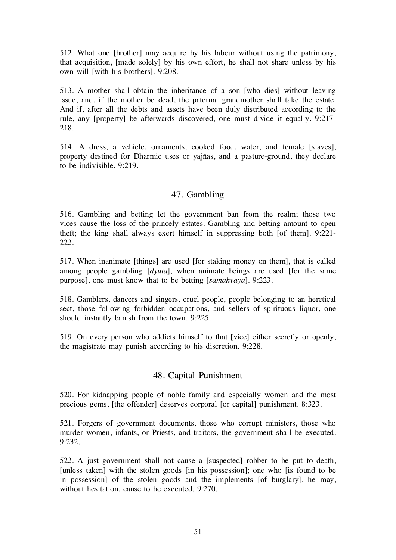512. What one [brother] may acquire by his labour without using the patrimony, that acquisition, [made solely] by his own effort, he shall not share unless by his own will [with his brothers]. 9:208.

513. A mother shall obtain the inheritance of a son [who dies] without leaving issue, and, if the mother be dead, the paternal grandmother shall take the estate. And if, after all the debts and assets have been duly distributed according to the rule, any [property] be afterwards discovered, one must divide it equally. 9:217- 218.

514. A dress, a vehicle, ornaments, cooked food, water, and female [slaves], property destined for Dharmic uses or yajñas, and a pasture-ground, they declare to be indivisible. 9:219.

# 47. Gambling

516. Gambling and betting let the government ban from the realm; those two vices cause the loss of the princely estates. Gambling and betting amount to open theft; the king shall always exert himself in suppressing both [of them]. 9:221- 222.

517. When inanimate [things] are used [for staking money on them], that is called among people gambling [dyuta], when animate beings are used [for the same purpose], one must know that to be betting [samahvaya]. 9:223.

518. Gamblers, dancers and singers, cruel people, people belonging to an heretical sect, those following forbidden occupations, and sellers of spirituous liquor, one should instantly banish from the town. 9:225.

519. On every person who addicts himself to that [vice] either secretly or openly, the magistrate may punish according to his discretion. 9:228.

#### 48. Capital Punishment

520. For kidnapping people of noble family and especially women and the most precious gems, [the offender] deserves corporal [or capital] punishment. 8:323.

521. Forgers of government documents, those who corrupt ministers, those who murder women, infants, or Priests, and traitors, the government shall be executed. 9:232.

522. A just government shall not cause a [suspected] robber to be put to death, [unless taken] with the stolen goods [in his possession]; one who [is found to be in possession] of the stolen goods and the implements [of burglary], he may, without hesitation, cause to be executed. 9:270.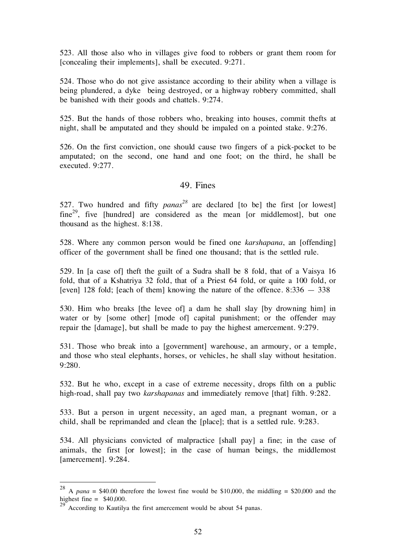523. All those also who in villages give food to robbers or grant them room for [concealing their implements], shall be executed. 9:271.

524. Those who do not give assistance according to their ability when a village is being plundered, a dyke being destroyed, or a highway robbery committed, shall be banished with their goods and chattels. 9:274.

525. But the hands of those robbers who, breaking into houses, commit thefts at night, shall be amputated and they should be impaled on a pointed stake. 9:276.

526. On the first conviction, one should cause two fingers of a pick-pocket to be amputated; on the second, one hand and one foot; on the third, he shall be executed. 9:277.

#### 49. Fines

527. Two hundred and fifty  $panas^{28}$  are declared [to be] the first [or lowest]  $fine^{29}$ , five [hundred] are considered as the mean [or middlemost], but one thousand as the highest. 8:138.

528. Where any common person would be fined one karshapana, an [offending] officer of the government shall be fined one thousand; that is the settled rule.

529. In [a case of] theft the guilt of a Sudra shall be 8 fold, that of a Vaisya 16 fold, that of a Kshatriya 32 fold, that of a Priest 64 fold, or quite a 100 fold, or [even] 128 fold; [each of them] knowing the nature of the offence. 8:336 — 338

530. Him who breaks [the levee of] a dam he shall slay [by drowning him] in water or by [some other] [mode of] capital punishment; or the offender may repair the [damage], but shall be made to pay the highest amercement. 9:279.

531. Those who break into a [government] warehouse, an armoury, or a temple, and those who steal elephants, horses, or vehicles, he shall slay without hesitation. 9:280.

532. But he who, except in a case of extreme necessity, drops filth on a public high-road, shall pay two *karshapanas* and immediately remove [that] filth. 9:282.

533. But a person in urgent necessity, an aged man, a pregnant woman, or a child, shall be reprimanded and clean the [place]; that is a settled rule. 9:283.

534. All physicians convicted of malpractice [shall pay] a fine; in the case of animals, the first [or lowest]; in the case of human beings, the middlemost [amercement]. 9:284.

<sup>&</sup>lt;sup>28</sup> A pana = \$40.00 therefore the lowest fine would be \$10,000, the middling = \$20,000 and the highest fine  $=$  \$40,000.

 $29^\circ$  According to Kautilya the first amercement would be about 54 panas.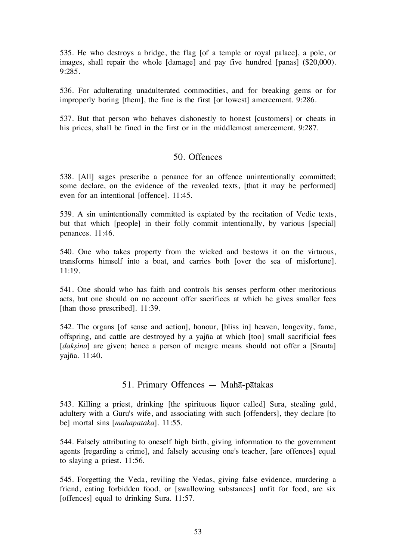535. He who destroys a bridge, the flag [of a temple or royal palace], a pole, or images, shall repair the whole [damage] and pay five hundred [panas] (\$20,000). 9:285.

536. For adulterating unadulterated commodities, and for breaking gems or for improperly boring [them], the fine is the first [or lowest] amercement. 9:286.

537. But that person who behaves dishonestly to honest [customers] or cheats in his prices, shall be fined in the first or in the middlemost amercement. 9:287.

#### 50. Offences

538. [All] sages prescribe a penance for an offence unintentionally committed; some declare, on the evidence of the revealed texts, [that it may be performed] even for an intentional [offence]. 11:45.

539. A sin unintentionally committed is expiated by the recitation of Vedic texts, but that which [people] in their folly commit intentionally, by various [special] penances. 11:46.

540. One who takes property from the wicked and bestows it on the virtuous, transforms himself into a boat, and carries both [over the sea of misfortune]. 11:19.

541. One should who has faith and controls his senses perform other meritorious acts, but one should on no account offer sacrifices at which he gives smaller fees [than those prescribed]. 11:39.

542. The organs [of sense and action], honour, [bliss in] heaven, longevity, fame, offspring, and cattle are destroyed by a yajña at which [too] small sacrificial fees [*daksina*] are given; hence a person of meagre means should not offer a [Srauta] yajña. 11:40.

#### 51. Primary Offences — Mahå-påtakas

543. Killing a priest, drinking [the spirituous liquor called] Sura, stealing gold, adultery with a Guru's wife, and associating with such [offenders], they declare [to be] mortal sins [mahāpātaka]. 11:55.

544. Falsely attributing to oneself high birth, giving information to the government agents [regarding a crime], and falsely accusing one's teacher, [are offences] equal to slaying a priest. 11:56.

545. Forgetting the Veda, reviling the Vedas, giving false evidence, murdering a friend, eating forbidden food, or [swallowing substances] unfit for food, are six [offences] equal to drinking Sura. 11:57.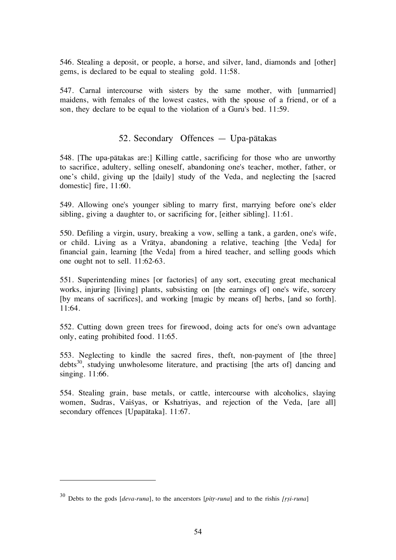546. Stealing a deposit, or people, a horse, and silver, land, diamonds and [other] gems, is declared to be equal to stealing gold. 11:58.

547. Carnal intercourse with sisters by the same mother, with [unmarried] maidens, with females of the lowest castes, with the spouse of a friend, or of a son, they declare to be equal to the violation of a Guru's bed. 11:59.

# 52. Secondary Offences — Upa-påtakas

548. [The upa-påtakas are:] Killing cattle, sacrificing for those who are unworthy to sacrifice, adultery, selling oneself, abandoning one's teacher, mother, father, or one's child, giving up the [daily] study of the Veda, and neglecting the [sacred domestic] fire, 11:60.

549. Allowing one's younger sibling to marry first, marrying before one's elder sibling, giving a daughter to, or sacrificing for, [either sibling]. 11:61.

550. Defiling a virgin, usury, breaking a vow, selling a tank, a garden, one's wife, or child. Living as a Vråtya, abandoning a relative, teaching [the Veda] for financial gain, learning [the Veda] from a hired teacher, and selling goods which one ought not to sell. 11:62-63.

551. Superintending mines [or factories] of any sort, executing great mechanical works, injuring [living] plants, subsisting on [the earnings of] one's wife, sorcery [by means of sacrifices], and working [magic by means of] herbs, [and so forth]. 11:64.

552. Cutting down green trees for firewood, doing acts for one's own advantage only, eating prohibited food. 11:65.

553. Neglecting to kindle the sacred fires, theft, non-payment of [the three] debts<sup>30</sup>, studying unwholesome literature, and practising [the arts of] dancing and singing. 11:66.

554. Stealing grain, base metals, or cattle, intercourse with alcoholics, slaying women, Sudras, Vaisyas, or Kshatriyas, and rejection of the Veda, [are all] secondary offences [Upapåtaka]. 11:67.

 $\overline{a}$ 

 $30$  Debts to the gods *[deva-runa]*, to the ancerstors *[pitr-runa]* and to the rishis *[rsi-runa]*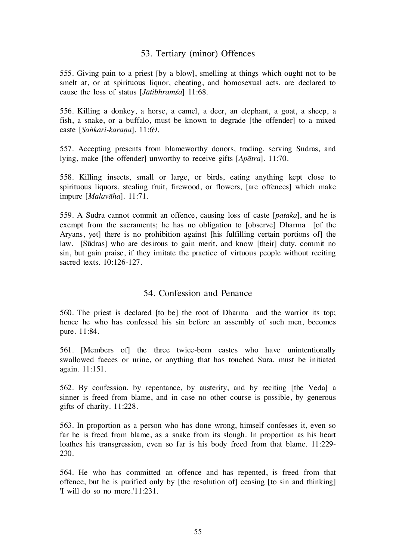# 53. Tertiary (minor) Offences

555. Giving pain to a priest [by a blow], smelling at things which ought not to be smelt at, or at spirituous liquor, cheating, and homosexual acts, are declared to cause the loss of status  $[Ja$ tibhramsa] 11:68.

556. Killing a donkey, a horse, a camel, a deer, an elephant, a goat, a sheep, a fish, a snake, or a buffalo, must be known to degrade [the offender] to a mixed caste [Sankari-karana]. 11:69.

557. Accepting presents from blameworthy donors, trading, serving Sudras, and lying, make [the offender] unworthy to receive gifts [Apåtra]. 11:70.

558. Killing insects, small or large, or birds, eating anything kept close to spirituous liquors, stealing fruit, firewood, or flowers, [are offences] which make impure [Malavåha]. 11:71.

559. A Sudra cannot commit an offence, causing loss of caste [pataka], and he is exempt from the sacraments; he has no obligation to [observe] Dharma [of the Aryans, yet] there is no prohibition against [his fulfilling certain portions of] the law. [Sûdras] who are desirous to gain merit, and know [their] duty, commit no sin, but gain praise, if they imitate the practice of virtuous people without reciting sacred texts. 10:126-127.

#### 54. Confession and Penance

560. The priest is declared [to be] the root of Dharma and the warrior its top; hence he who has confessed his sin before an assembly of such men, becomes pure. 11:84.

561. [Members of] the three twice-born castes who have unintentionally swallowed faeces or urine, or anything that has touched Sura, must be initiated again. 11:151.

562. By confession, by repentance, by austerity, and by reciting [the Veda] a sinner is freed from blame, and in case no other course is possible, by generous gifts of charity. 11:228.

563. In proportion as a person who has done wrong, himself confesses it, even so far he is freed from blame, as a snake from its slough. In proportion as his heart loathes his transgression, even so far is his body freed from that blame. 11:229- 230.

564. He who has committed an offence and has repented, is freed from that offence, but he is purified only by [the resolution of] ceasing [to sin and thinking] 'I will do so no more.'11:231.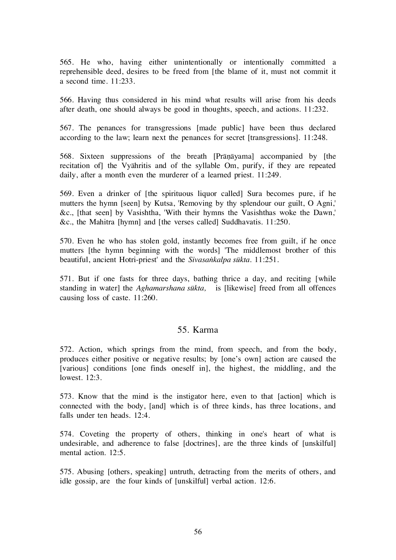565. He who, having either unintentionally or intentionally committed a reprehensible deed, desires to be freed from [the blame of it, must not commit it a second time. 11:233.

566. Having thus considered in his mind what results will arise from his deeds after death, one should always be good in thoughts, speech, and actions. 11:232.

567. The penances for transgressions [made public] have been thus declared according to the law; learn next the penances for secret [transgressions]. 11:248.

568. Sixteen suppressions of the breath [Prānāyama] accompanied by [the recitation of] the Vyåhritis and of the syllable Om, purify, if they are repeated daily, after a month even the murderer of a learned priest. 11:249.

569. Even a drinker of [the spirituous liquor called] Sura becomes pure, if he mutters the hymn [seen] by Kutsa, 'Removing by thy splendour our guilt, O Agni,' &c., [that seen] by Vasishtha, 'With their hymns the Vasishthas woke the Dawn,' &c., the Mahitra [hymn] and [the verses called] Suddhavatis. 11:250.

570. Even he who has stolen gold, instantly becomes free from guilt, if he once mutters [the hymn beginning with the words] 'The middlemost brother of this beautiful, ancient Hotri-priest' and the Sivasankalpa sūkta. 11:251.

571. But if one fasts for three days, bathing thrice a day, and reciting [while standing in water] the Aghamarshana sûkta, is [likewise] freed from all offences causing loss of caste. 11:260.

#### 55. Karma

572. Action, which springs from the mind, from speech, and from the body, produces either positive or negative results; by [one's own] action are caused the [various] conditions [one finds oneself in], the highest, the middling, and the lowest. 12:3.

573. Know that the mind is the instigator here, even to that [action] which is connected with the body, [and] which is of three kinds, has three locations, and falls under ten heads. 12:4.

574. Coveting the property of others, thinking in one's heart of what is undesirable, and adherence to false [doctrines], are the three kinds of [unskilful] mental action. 12:5.

575. Abusing [others, speaking] untruth, detracting from the merits of others, and idle gossip, are the four kinds of [unskilful] verbal action. 12:6.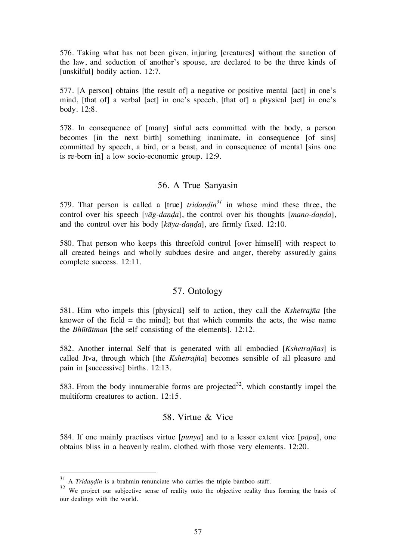576. Taking what has not been given, injuring [creatures] without the sanction of the law, and seduction of another's spouse, are declared to be the three kinds of [unskilful] bodily action. 12:7.

577. [A person] obtains [the result of] a negative or positive mental [act] in one's mind, [that of] a verbal [act] in one's speech, [that of] a physical [act] in one's body. 12:8.

578. In consequence of [many] sinful acts committed with the body, a person becomes [in the next birth] something inanimate, in consequence [of sins] committed by speech, a bird, or a beast, and in consequence of mental [sins one is re-born in] a low socio-economic group. 12:9.

#### 56. A True Sanyasin

579. That person is called a [true]  $tridap\,^31}$  in whose mind these three, the control over his speech  $[v\bar{a}g\text{-}danda]$ , the control over his thoughts  $[mano\text{-}danda]$ , and the control over his body  $[k\bar{a}ya-danda]$ , are firmly fixed. 12:10.

580. That person who keeps this threefold control [over himself] with respect to all created beings and wholly subdues desire and anger, thereby assuredly gains complete success. 12:11.

#### 57. Ontology

581. Him who impels this [physical] self to action, they call the Kshetrajña [the knower of the field  $=$  the mind]; but that which commits the acts, the wise name the Bhûtåtman [the self consisting of the elements]. 12:12.

582. Another internal Self that is generated with all embodied [Kshetrajñas] is called Jîva, through which [the Kshetrajña] becomes sensible of all pleasure and pain in [successive] births. 12:13.

583. From the body innumerable forms are projected<sup>32</sup>, which constantly impel the multiform creatures to action. 12:15.

#### 58. Virtue & Vice

584. If one mainly practises virtue  $[punya]$  and to a lesser extent vice  $[p\bar{a}pa]$ , one obtains bliss in a heavenly realm, clothed with those very elements. 12:20.

 $31$  A Tridandin is a brāhmin renunciate who carries the triple bamboo staff.

<sup>&</sup>lt;sup>32</sup> We project our subjective sense of reality onto the objective reality thus forming the basis of our dealings with the world.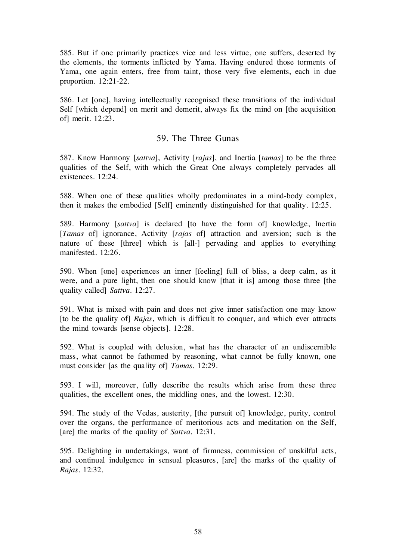585. But if one primarily practices vice and less virtue, one suffers, deserted by the elements, the torments inflicted by Yama. Having endured those torments of Yama, one again enters, free from taint, those very five elements, each in due proportion. 12:21-22.

586. Let [one], having intellectually recognised these transitions of the individual Self [which depend] on merit and demerit, always fix the mind on [the acquisition of] merit. 12:23.

#### 59. The Three Gunas

587. Know Harmony [sattva], Activity [rajas], and Inertia [tamas] to be the three qualities of the Self, with which the Great One always completely pervades all existences. 12:24.

588. When one of these qualities wholly predominates in a mind-body complex, then it makes the embodied [Self] eminently distinguished for that quality. 12:25.

589. Harmony [sattva] is declared [to have the form of] knowledge, Inertia [*Tamas* of] ignorance, Activity [*rajas* of] attraction and aversion; such is the nature of these [three] which is [all-] pervading and applies to everything manifested. 12:26.

590. When [one] experiences an inner [feeling] full of bliss, a deep calm, as it were, and a pure light, then one should know [that it is] among those three [the quality called] Sattva. 12:27.

591. What is mixed with pain and does not give inner satisfaction one may know [to be the quality of] Rajas, which is difficult to conquer, and which ever attracts the mind towards [sense objects]. 12:28.

592. What is coupled with delusion, what has the character of an undiscernible mass, what cannot be fathomed by reasoning, what cannot be fully known, one must consider [as the quality of] Tamas. 12:29.

593. I will, moreover, fully describe the results which arise from these three qualities, the excellent ones, the middling ones, and the lowest. 12:30.

594. The study of the Vedas, austerity, [the pursuit of] knowledge, purity, control over the organs, the performance of meritorious acts and meditation on the Self, [are] the marks of the quality of Sattva. 12:31.

595. Delighting in undertakings, want of firmness, commission of unskilful acts, and continual indulgence in sensual pleasures, [are] the marks of the quality of Rajas. 12:32.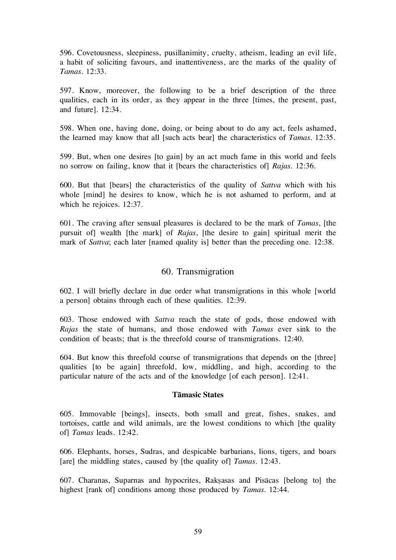596. Covetousness, sleepiness, pusillanimity, cruelty, atheism, leading an evil life, a habit of soliciting favours, and inattentiveness, are the marks of the quality of Tamas. 12:33.

597. Know, moreover, the following to be a brief description of the three qualities, each in its order, as they appear in the three [times, the present, past, and future]. 12:34.

598. When one, having done, doing, or being about to do any act, feels ashamed, the learned may know that all [such acts bear] the characteristics of Tamas. 12:35.

599. But, when one desires [to gain] by an act much fame in this world and feels no sorrow on failing, know that it [bears the characteristics of] Rajas. 12:36.

600. But that [bears] the characteristics of the quality of Sattva which with his whole [mind] he desires to know, which he is not ashamed to perform, and at which he rejoices. 12:37.

601. The craving after sensual pleasures is declared to be the mark of Tamas, [the pursuit of] wealth [the mark] of Rajas, [the desire to gain] spiritual merit the mark of Sattva; each later [named quality is] better than the preceding one. 12:38.

#### 60. Transmigration

602. I will briefly declare in due order what transmigrations in this whole [world a person] obtains through each of these qualities. 12:39.

603. Those endowed with Sattva reach the state of gods, those endowed with Rajas the state of humans, and those endowed with Tamas ever sink to the condition of beasts; that is the threefold course of transmigrations. 12:40.

604. But know this threefold course of transmigrations that depends on the [three] qualities [to be again] threefold, low, middling, and high, according to the particular nature of the acts and of the knowledge [of each person]. 12:41.

#### Tåmasic States

605. Immovable [beings], insects, both small and great, fishes, snakes, and tortoises, cattle and wild animals, are the lowest conditions to which [the quality of] Tamas leads. 12:42.

606. Elephants, horses, Sudras, and despicable barbarians, lions, tigers, and boars [are] the middling states, caused by [the quality of] Tamas. 12:43.

607. Charanas, Suparnas and hypocrites, Rakßasas and Pisåcas [belong to] the highest [rank of] conditions among those produced by *Tamas*. 12:44.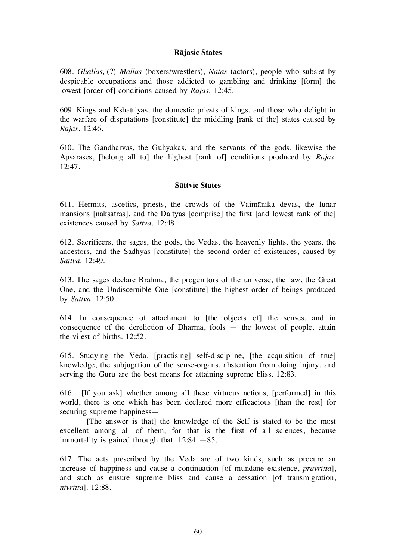#### Råjasic States

608. Ghallas, (?) Mallas (boxers/wrestlers), Natas (actors), people who subsist by despicable occupations and those addicted to gambling and drinking [form] the lowest [order of] conditions caused by *Rajas*. 12:45.

609. Kings and Kshatriyas, the domestic priests of kings, and those who delight in the warfare of disputations [constitute] the middling [rank of the] states caused by Rajas. 12:46.

610. The Gandharvas, the Guhyakas, and the servants of the gods, likewise the Apsarases, [belong all to] the highest [rank of] conditions produced by Rajas.  $12:47$ 

#### Såttvic States

611. Hermits, ascetics, priests, the crowds of the Vaimånika devas, the lunar mansions [nakṣatras], and the Daityas [comprise] the first [and lowest rank of the] existences caused by Sattva. 12:48.

612. Sacrificers, the sages, the gods, the Vedas, the heavenly lights, the years, the ancestors, and the Sadhyas [constitute] the second order of existences, caused by Sattva. 12:49.

613. The sages declare Brahma, the progenitors of the universe, the law, the Great One, and the Undiscernible One [constitute] the highest order of beings produced by Sattva. 12:50.

614. In consequence of attachment to [the objects of] the senses, and in consequence of the dereliction of Dharma, fools — the lowest of people, attain the vilest of births. 12:52.

615. Studying the Veda, [practising] self-discipline, [the acquisition of true] knowledge, the subjugation of the sense-organs, abstention from doing injury, and serving the Guru are the best means for attaining supreme bliss. 12:83.

616. [If you ask] whether among all these virtuous actions, [performed] in this world, there is one which has been declared more efficacious [than the rest] for securing supreme happiness—

 [The answer is that] the knowledge of the Self is stated to be the most excellent among all of them; for that is the first of all sciences, because immortality is gained through that.  $12:84 - 85$ .

617. The acts prescribed by the Veda are of two kinds, such as procure an increase of happiness and cause a continuation [of mundane existence, *pravritta*], and such as ensure supreme bliss and cause a cessation [of transmigration, nivritta]. 12:88.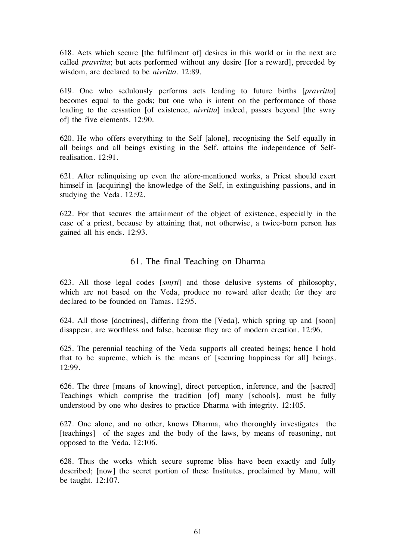618. Acts which secure [the fulfilment of] desires in this world or in the next are called pravritta; but acts performed without any desire [for a reward], preceded by wisdom, are declared to be *nivritta*. 12:89.

619. One who sedulously performs acts leading to future births [pravritta] becomes equal to the gods; but one who is intent on the performance of those leading to the cessation [of existence, *nivritta*] indeed, passes beyond [the sway of] the five elements. 12:90.

620. He who offers everything to the Self [alone], recognising the Self equally in all beings and all beings existing in the Self, attains the independence of Selfrealisation. 12:91.

621. After relinquising up even the afore-mentioned works, a Priest should exert himself in [acquiring] the knowledge of the Self, in extinguishing passions, and in studying the Veda. 12:92.

622. For that secures the attainment of the object of existence, especially in the case of a priest, because by attaining that, not otherwise, a twice-born person has gained all his ends. 12:93.

# 61. The final Teaching on Dharma

623. All those legal codes [smrti] and those delusive systems of philosophy, which are not based on the Veda, produce no reward after death; for they are declared to be founded on Tamas. 12:95.

624. All those [doctrines], differing from the [Veda], which spring up and [soon] disappear, are worthless and false, because they are of modern creation. 12:96.

625. The perennial teaching of the Veda supports all created beings; hence I hold that to be supreme, which is the means of [securing happiness for all] beings. 12:99.

626. The three [means of knowing], direct perception, inference, and the [sacred] Teachings which comprise the tradition [of] many [schools], must be fully understood by one who desires to practice Dharma with integrity. 12:105.

627. One alone, and no other, knows Dharma, who thoroughly investigates the [teachings] of the sages and the body of the laws, by means of reasoning, not opposed to the Veda. 12:106.

628. Thus the works which secure supreme bliss have been exactly and fully described; [now] the secret portion of these Institutes, proclaimed by Manu, will be taught. 12:107.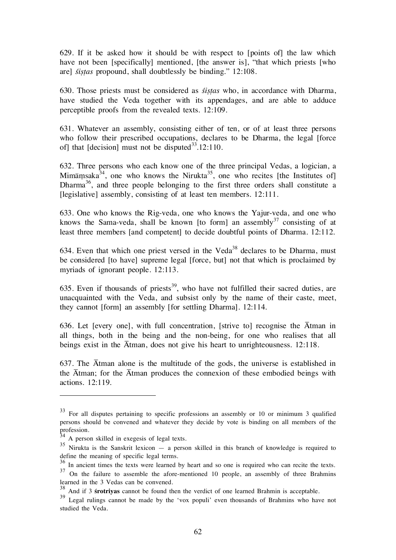629. If it be asked how it should be with respect to [points of] the law which have not been [specifically] mentioned, [the answer is], "that which priests [who are] *sistas* propound, shall doubtlessly be binding." 12:108.

630. Those priests must be considered as *sistas* who, in accordance with Dharma, have studied the Veda together with its appendages, and are able to adduce perceptible proofs from the revealed texts. 12:109.

631. Whatever an assembly, consisting either of ten, or of at least three persons who follow their prescribed occupations, declares to be Dharma, the legal [force of] that  $[decision]$  must not be disputed<sup>33</sup>.12:110.

632. Three persons who each know one of the three principal Vedas, a logician, a Mimāmsaka<sup>34</sup>, one who knows the Nirukta<sup>35</sup>, one who recites [the Institutes of] Dharma<sup>36</sup>, and three people belonging to the first three orders shall constitute a [legislative] assembly, consisting of at least ten members. 12:111.

633. One who knows the Rig-veda, one who knows the Yajur-veda, and one who knows the Sama-veda, shall be known [to form] an assembly<sup>37</sup> consisting of at least three members [and competent] to decide doubtful points of Dharma. 12:112.

634. Even that which one priest versed in the Veda<sup>38</sup> declares to be Dharma, must be considered [to have] supreme legal [force, but] not that which is proclaimed by myriads of ignorant people. 12:113.

635. Even if thousands of priests<sup>39</sup>, who have not fulfilled their sacred duties, are unacquainted with the Veda, and subsist only by the name of their caste, meet, they cannot [form] an assembly [for settling Dharma]. 12:114.

636. Let [every one], with full concentration, [strive to] recognise the  $\overline{\text{A}}$ tman in all things, both in the being and the non-being, for one who realises that all beings exist in the Åtman, does not give his heart to unrighteousness. 12:118.

637. The Åtman alone is the multitude of the gods, the universe is established in the  $\bar{A}$ tman; for the  $\bar{A}$ tman produces the connexion of these embodied beings with actions. 12:119.

 $\overline{a}$ 

 $33$  For all disputes pertaining to specific professions an assembly or 10 or minimum 3 qualified persons should be convened and whatever they decide by vote is binding on all members of the profession.

 $34$  A person skilled in exegesis of legal texts.

 $35$  Nirukta is the Sanskrit lexicon  $-$  a person skilled in this branch of knowledge is required to define the meaning of specific legal terms.

<sup>&</sup>lt;sup>36</sup> In ancient times the texts were learned by heart and so one is required who can recite the texts. <sup>37</sup> On the failure to assemble the afore-mentioned 10 people, an assembly of three Brahmins learned in the 3 Vedas can be convened.

 $38$  And if 3 **śrotriyas** cannot be found then the verdict of one learned Brahmin is acceptable.

<sup>&</sup>lt;sup>39</sup> Legal rulings cannot be made by the 'vox populi' even thousands of Brahmins who have not studied the Veda.